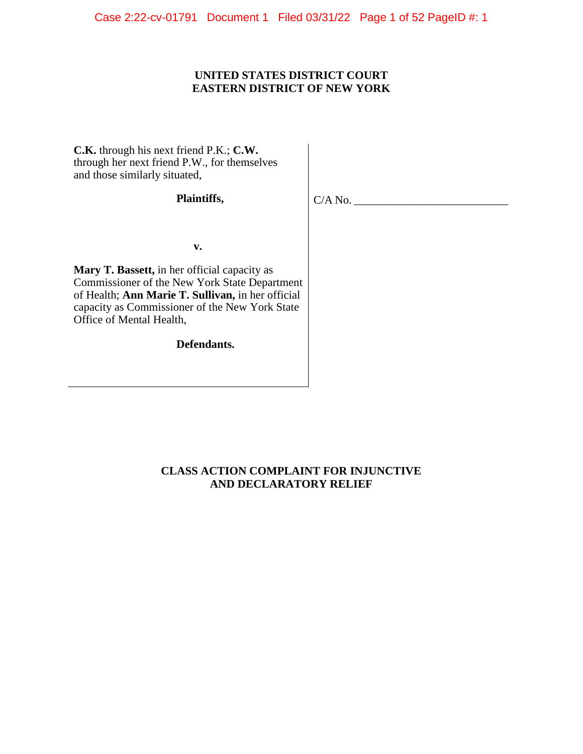Case 2:22-cv-01791 Document 1 Filed 03/31/22 Page 1 of 52 PageID #: 1

# **UNITED STATES DISTRICT COURT EASTERN DISTRICT OF NEW YORK**

**C.K.** through his next friend P.K.; **C.W.**  through her next friend P.W., for themselves and those similarly situated,

# **Plaintiffs,**

 $C/A$  No.

**v. v. v.** 

**Mary T. Bassett,** in her official capacity as Commissioner of the New York State Department of Health; **Ann Marie T. Sullivan,** in her official capacity as Commissioner of the New York State Office of Mental Health,

**Defendants.**

# **CLASS ACTION COMPLAINT FOR INJUNCTIVE AND DECLARATORY RELIEF**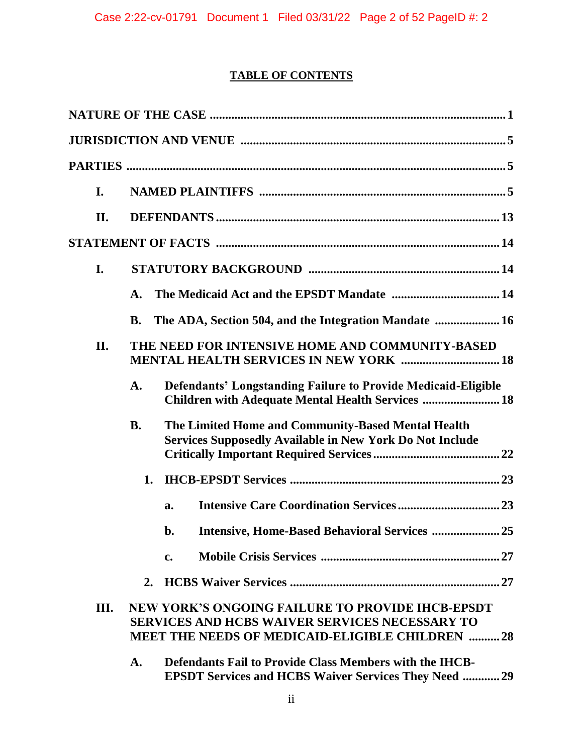# **TABLE OF CONTENTS**

| I.   |                |                                                                                                                                                                            |  |
|------|----------------|----------------------------------------------------------------------------------------------------------------------------------------------------------------------------|--|
| II.  |                |                                                                                                                                                                            |  |
|      |                |                                                                                                                                                                            |  |
| I.   |                |                                                                                                                                                                            |  |
|      | A.             |                                                                                                                                                                            |  |
|      | <b>B.</b>      | The ADA, Section 504, and the Integration Mandate  16                                                                                                                      |  |
| II.  |                | THE NEED FOR INTENSIVE HOME AND COMMUNITY-BASED<br><b>MENTAL HEALTH SERVICES IN NEW YORK  18</b>                                                                           |  |
|      | A.             | <b>Defendants' Longstanding Failure to Provide Medicaid-Eligible</b><br>Children with Adequate Mental Health Services  18                                                  |  |
|      | <b>B.</b>      | The Limited Home and Community-Based Mental Health<br><b>Services Supposedly Available in New York Do Not Include</b>                                                      |  |
|      | 1.             |                                                                                                                                                                            |  |
|      |                | a.                                                                                                                                                                         |  |
|      |                | Intensive, Home-Based Behavioral Services  25<br>b.                                                                                                                        |  |
|      |                | $c_{\cdot}$                                                                                                                                                                |  |
|      | 2.             |                                                                                                                                                                            |  |
| III. |                | <b>NEW YORK'S ONGOING FAILURE TO PROVIDE IHCB-EPSDT</b><br><b>SERVICES AND HCBS WAIVER SERVICES NECESSARY TO</b><br><b>MEET THE NEEDS OF MEDICAID-ELIGIBLE CHILDREN 28</b> |  |
|      | $\mathbf{A}$ . | <b>Defendants Fail to Provide Class Members with the IHCB-</b><br><b>EPSDT Services and HCBS Waiver Services They Need  29</b>                                             |  |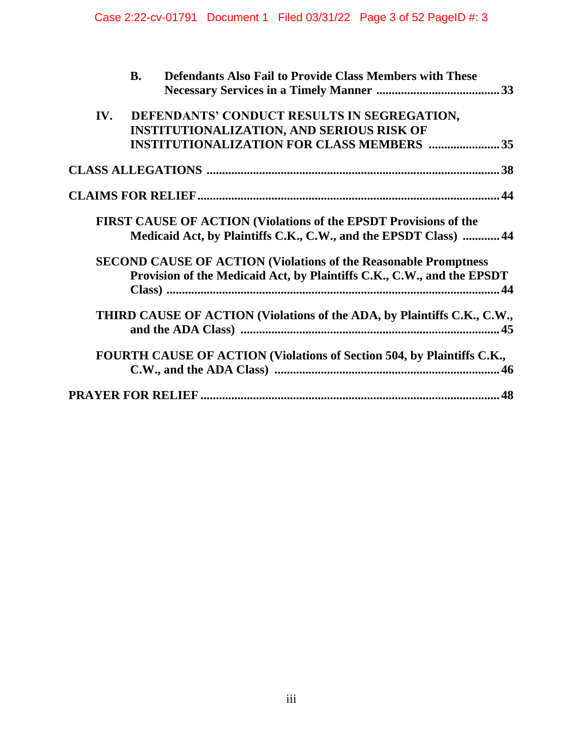| <b>Defendants Also Fail to Provide Class Members with These</b><br><b>B.</b> |
|------------------------------------------------------------------------------|
|                                                                              |
| DEFENDANTS' CONDUCT RESULTS IN SEGREGATION,<br>IV.                           |
| <b>INSTITUTIONALIZATION, AND SERIOUS RISK OF</b>                             |
| <b>INSTITUTIONALIZATION FOR CLASS MEMBERS  35</b>                            |
|                                                                              |
|                                                                              |
| FIRST CAUSE OF ACTION (Violations of the EPSDT Provisions of the             |
| Medicaid Act, by Plaintiffs C.K., C.W., and the EPSDT Class)  44             |
| <b>SECOND CAUSE OF ACTION (Violations of the Reasonable Promptness)</b>      |
| Provision of the Medicaid Act, by Plaintiffs C.K., C.W., and the EPSDT       |
|                                                                              |
| THIRD CAUSE OF ACTION (Violations of the ADA, by Plaintiffs C.K., C.W.,      |
|                                                                              |
| FOURTH CAUSE OF ACTION (Violations of Section 504, by Plaintiffs C.K.,       |
|                                                                              |
|                                                                              |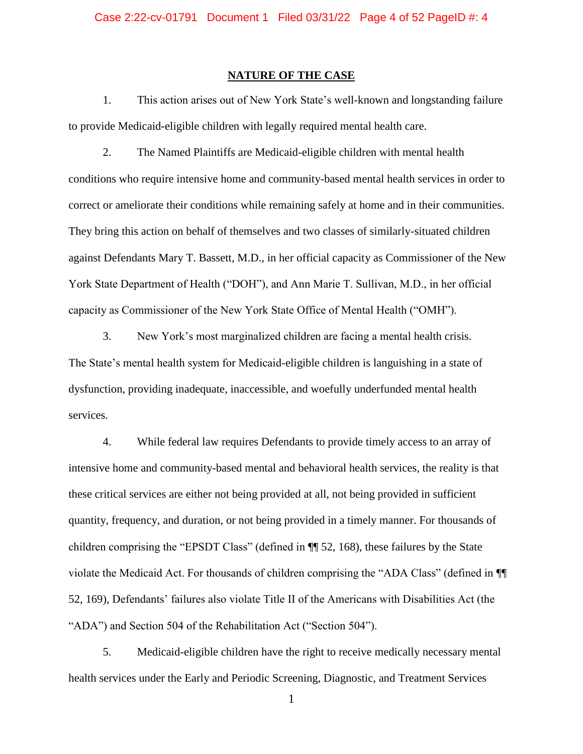### **NATURE OF THE CASE**

<span id="page-3-0"></span>1. This action arises out of New York State's well-known and longstanding failure to provide Medicaid-eligible children with legally required mental health care.

2. The Named Plaintiffs are Medicaid-eligible children with mental health conditions who require intensive home and community-based mental health services in order to correct or ameliorate their conditions while remaining safely at home and in their communities. They bring this action on behalf of themselves and two classes of similarly-situated children against Defendants Mary T. Bassett, M.D., in her official capacity as Commissioner of the New York State Department of Health ("DOH"), and Ann Marie T. Sullivan, M.D., in her official capacity as Commissioner of the New York State Office of Mental Health ("OMH").

3. New York's most marginalized children are facing a mental health crisis. The State's mental health system for Medicaid-eligible children is languishing in a state of dysfunction, providing inadequate, inaccessible, and woefully underfunded mental health services.

4. While federal law requires Defendants to provide timely access to an array of intensive home and community-based mental and behavioral health services, the reality is that these critical services are either not being provided at all, not being provided in sufficient quantity, frequency, and duration, or not being provided in a timely manner. For thousands of children comprising the "EPSDT Class" (defined in ¶¶ 52, 168), these failures by the State violate the Medicaid Act. For thousands of children comprising the "ADA Class" (defined in ¶¶ 52, 169), Defendants' failures also violate Title II of the Americans with Disabilities Act (the "ADA") and Section 504 of the Rehabilitation Act ("Section 504").

5. Medicaid-eligible children have the right to receive medically necessary mental health services under the Early and Periodic Screening, Diagnostic, and Treatment Services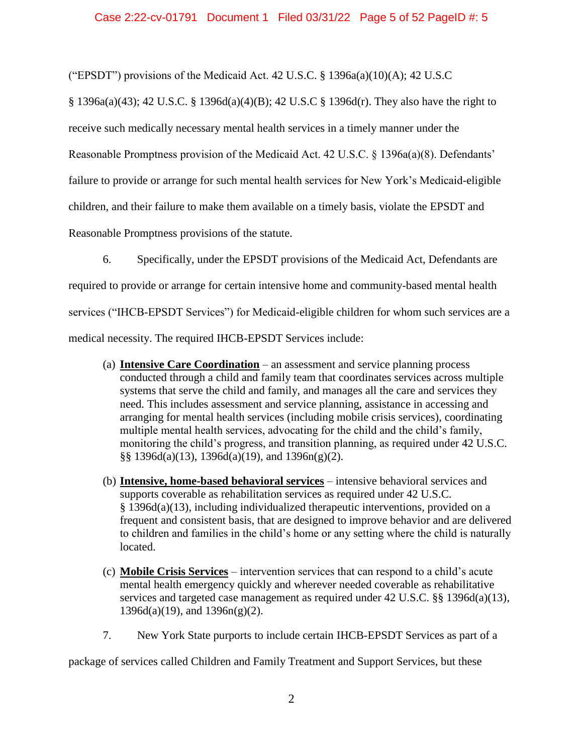("EPSDT") provisions of the Medicaid Act. 42 U.S.C.  $\S$  1396a(a)(10)(A); 42 U.S.C

§ 1396a(a)(43); 42 U.S.C. § 1396d(a)(4)(B); 42 U.S.C § 1396d(r). They also have the right to receive such medically necessary mental health services in a timely manner under the Reasonable Promptness provision of the Medicaid Act. 42 U.S.C. § 1396a(a)(8). Defendants' failure to provide or arrange for such mental health services for New York's Medicaid-eligible children, and their failure to make them available on a timely basis, violate the EPSDT and Reasonable Promptness provisions of the statute.

6. Specifically, under the EPSDT provisions of the Medicaid Act, Defendants are required to provide or arrange for certain intensive home and community-based mental health services ("IHCB-EPSDT Services") for Medicaid-eligible children for whom such services are a medical necessity. The required IHCB-EPSDT Services include:

- (a) **Intensive Care Coordination** an assessment and service planning process conducted through a child and family team that coordinates services across multiple systems that serve the child and family, and manages all the care and services they need. This includes assessment and service planning, assistance in accessing and arranging for mental health services (including mobile crisis services), coordinating multiple mental health services, advocating for the child and the child's family, monitoring the child's progress, and transition planning, as required under 42 U.S.C.  $\S$ § 1396d(a)(13), 1396d(a)(19), and 1396n(g)(2).
- (b) **Intensive, home-based behavioral services** intensive behavioral services and supports coverable as rehabilitation services as required under 42 U.S.C. § 1396d(a)(13), including individualized therapeutic interventions, provided on a frequent and consistent basis, that are designed to improve behavior and are delivered to children and families in the child's home or any setting where the child is naturally located.
- (c) **Mobile Crisis Services** intervention services that can respond to a child's acute mental health emergency quickly and wherever needed coverable as rehabilitative services and targeted case management as required under 42 U.S.C. §§ 1396d(a)(13),  $1396d(a)(19)$ , and  $1396n(g)(2)$ .
- 7. New York State purports to include certain IHCB-EPSDT Services as part of a

package of services called Children and Family Treatment and Support Services, but these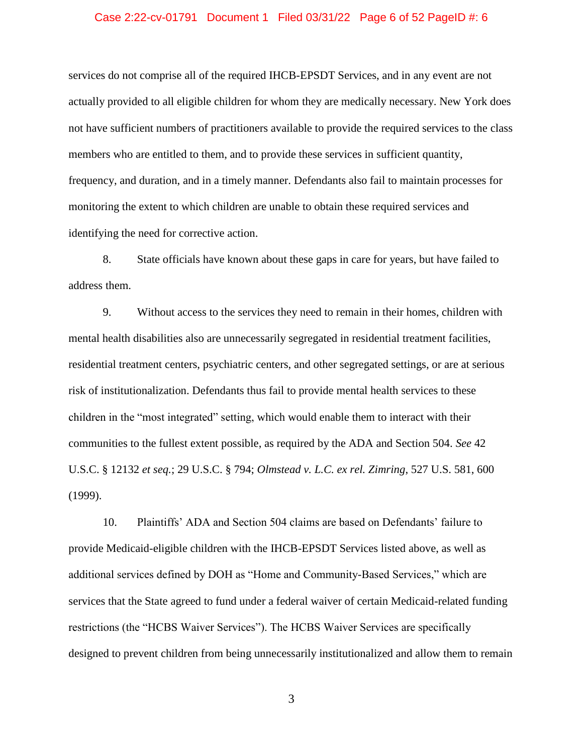### Case 2:22-cv-01791 Document 1 Filed 03/31/22 Page 6 of 52 PageID #: 6

services do not comprise all of the required IHCB-EPSDT Services, and in any event are not actually provided to all eligible children for whom they are medically necessary. New York does not have sufficient numbers of practitioners available to provide the required services to the class members who are entitled to them, and to provide these services in sufficient quantity, frequency, and duration, and in a timely manner. Defendants also fail to maintain processes for monitoring the extent to which children are unable to obtain these required services and identifying the need for corrective action.

8. State officials have known about these gaps in care for years, but have failed to address them.

9. Without access to the services they need to remain in their homes, children with mental health disabilities also are unnecessarily segregated in residential treatment facilities, residential treatment centers, psychiatric centers, and other segregated settings, or are at serious risk of institutionalization. Defendants thus fail to provide mental health services to these children in the "most integrated" setting, which would enable them to interact with their communities to the fullest extent possible, as required by the ADA and Section 504. *See* 42 U.S.C. § 12132 *et seq.*; 29 U.S.C. § 794; *Olmstead v. L.C. ex rel. Zimring*, 527 U.S. 581, 600 (1999).

10. Plaintiffs' ADA and Section 504 claims are based on Defendants' failure to provide Medicaid-eligible children with the IHCB-EPSDT Services listed above, as well as additional services defined by DOH as "Home and Community-Based Services," which are services that the State agreed to fund under a federal waiver of certain Medicaid-related funding restrictions (the "HCBS Waiver Services"). The HCBS Waiver Services are specifically designed to prevent children from being unnecessarily institutionalized and allow them to remain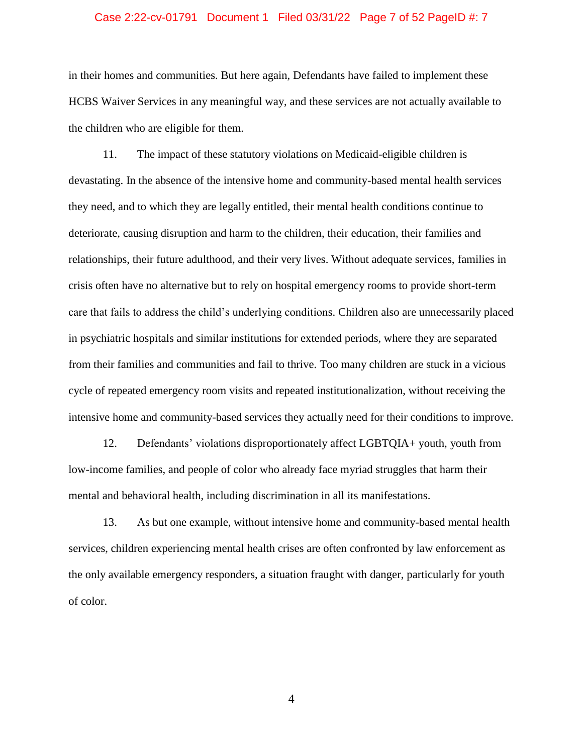### Case 2:22-cv-01791 Document 1 Filed 03/31/22 Page 7 of 52 PageID #: 7

in their homes and communities. But here again, Defendants have failed to implement these HCBS Waiver Services in any meaningful way, and these services are not actually available to the children who are eligible for them.

11. The impact of these statutory violations on Medicaid-eligible children is devastating. In the absence of the intensive home and community-based mental health services they need, and to which they are legally entitled, their mental health conditions continue to deteriorate, causing disruption and harm to the children, their education, their families and relationships, their future adulthood, and their very lives. Without adequate services, families in crisis often have no alternative but to rely on hospital emergency rooms to provide short-term care that fails to address the child's underlying conditions. Children also are unnecessarily placed in psychiatric hospitals and similar institutions for extended periods, where they are separated from their families and communities and fail to thrive. Too many children are stuck in a vicious cycle of repeated emergency room visits and repeated institutionalization, without receiving the intensive home and community-based services they actually need for their conditions to improve.

12. Defendants' violations disproportionately affect LGBTQIA+ youth, youth from low-income families, and people of color who already face myriad struggles that harm their mental and behavioral health, including discrimination in all its manifestations.

13. As but one example, without intensive home and community-based mental health services, children experiencing mental health crises are often confronted by law enforcement as the only available emergency responders, a situation fraught with danger, particularly for youth of color.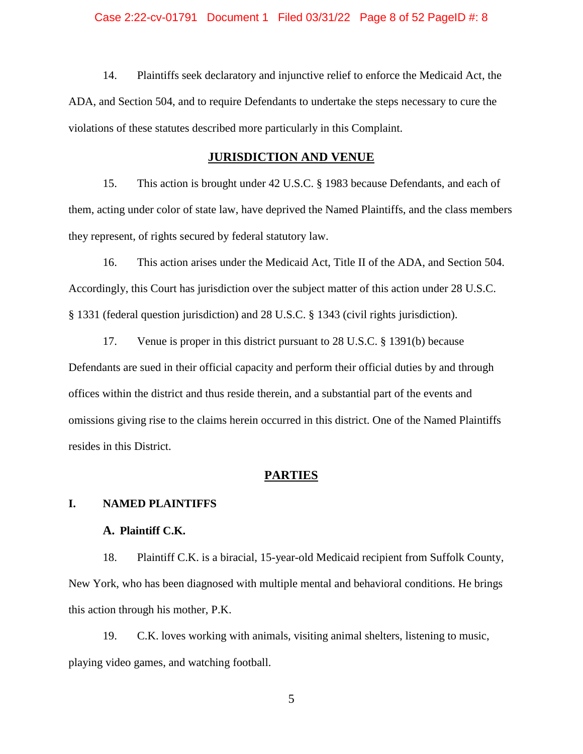# Case 2:22-cv-01791 Document 1 Filed 03/31/22 Page 8 of 52 PageID #: 8

14. Plaintiffs seek declaratory and injunctive relief to enforce the Medicaid Act, the ADA, and Section 504, and to require Defendants to undertake the steps necessary to cure the violations of these statutes described more particularly in this Complaint.

# **JURISDICTION AND VENUE**

<span id="page-7-0"></span>15. This action is brought under 42 U.S.C. § 1983 because Defendants, and each of them, acting under color of state law, have deprived the Named Plaintiffs, and the class members they represent, of rights secured by federal statutory law.

16. This action arises under the Medicaid Act, Title II of the ADA, and Section 504. Accordingly, this Court has jurisdiction over the subject matter of this action under 28 U.S.C. § 1331 (federal question jurisdiction) and 28 U.S.C. § 1343 (civil rights jurisdiction).

17. Venue is proper in this district pursuant to 28 U.S.C. § 1391(b) because Defendants are sued in their official capacity and perform their official duties by and through offices within the district and thus reside therein, and a substantial part of the events and omissions giving rise to the claims herein occurred in this district. One of the Named Plaintiffs resides in this District.

# **PARTIES**

# <span id="page-7-2"></span><span id="page-7-1"></span>**I. NAMED PLAINTIFFS**

# **A. Plaintiff C.K.**

18. Plaintiff C.K. is a biracial, 15-year-old Medicaid recipient from Suffolk County, New York, who has been diagnosed with multiple mental and behavioral conditions. He brings this action through his mother, P.K.

19. C.K. loves working with animals, visiting animal shelters, listening to music, playing video games, and watching football.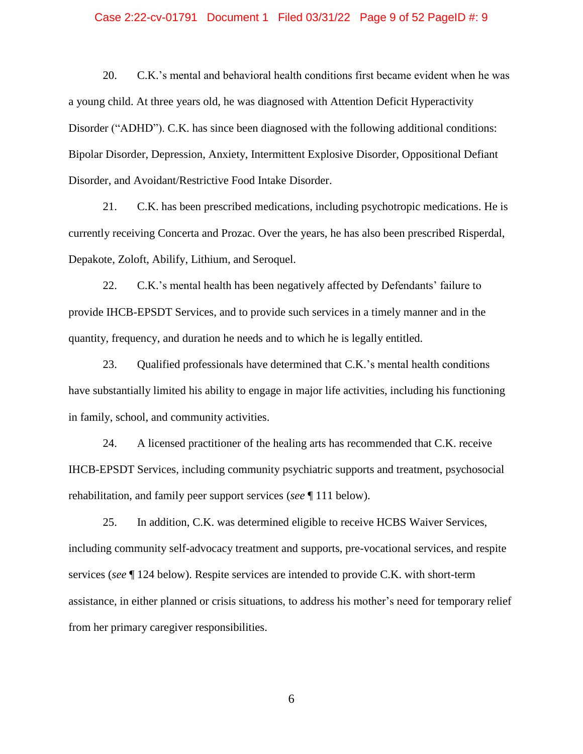# Case 2:22-cv-01791 Document 1 Filed 03/31/22 Page 9 of 52 PageID #: 9

20. C.K.'s mental and behavioral health conditions first became evident when he was a young child. At three years old, he was diagnosed with Attention Deficit Hyperactivity Disorder ("ADHD"). C.K. has since been diagnosed with the following additional conditions: Bipolar Disorder, Depression, Anxiety, Intermittent Explosive Disorder, Oppositional Defiant Disorder, and Avoidant/Restrictive Food Intake Disorder.

21. C.K. has been prescribed medications, including psychotropic medications. He is currently receiving Concerta and Prozac. Over the years, he has also been prescribed Risperdal, Depakote, Zoloft, Abilify, Lithium, and Seroquel.

22. C.K.'s mental health has been negatively affected by Defendants' failure to provide IHCB-EPSDT Services, and to provide such services in a timely manner and in the quantity, frequency, and duration he needs and to which he is legally entitled.

23. Qualified professionals have determined that C.K.'s mental health conditions have substantially limited his ability to engage in major life activities, including his functioning in family, school, and community activities.

24. A licensed practitioner of the healing arts has recommended that C.K. receive IHCB-EPSDT Services, including community psychiatric supports and treatment, psychosocial rehabilitation, and family peer support services (*see* ¶ 111 below).

25. In addition, C.K. was determined eligible to receive HCBS Waiver Services, including community self-advocacy treatment and supports, pre-vocational services, and respite services (*see* ¶ 124 below). Respite services are intended to provide C.K. with short-term assistance, in either planned or crisis situations, to address his mother's need for temporary relief from her primary caregiver responsibilities.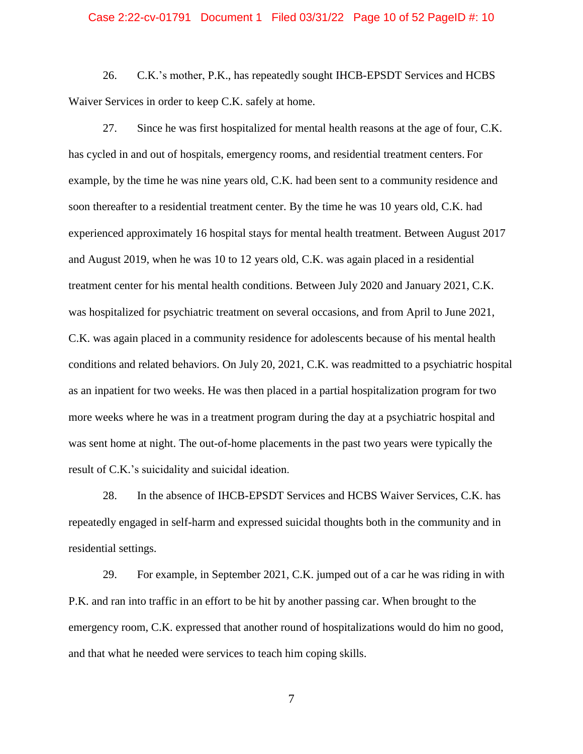# Case 2:22-cv-01791 Document 1 Filed 03/31/22 Page 10 of 52 PageID #: 10

26. C.K.'s mother, P.K., has repeatedly sought IHCB-EPSDT Services and HCBS Waiver Services in order to keep C.K. safely at home.

27. Since he was first hospitalized for mental health reasons at the age of four, C.K. has cycled in and out of hospitals, emergency rooms, and residential treatment centers. For example, by the time he was nine years old, C.K. had been sent to a community residence and soon thereafter to a residential treatment center. By the time he was 10 years old, C.K. had experienced approximately 16 hospital stays for mental health treatment. Between August 2017 and August 2019, when he was 10 to 12 years old, C.K. was again placed in a residential treatment center for his mental health conditions. Between July 2020 and January 2021, C.K. was hospitalized for psychiatric treatment on several occasions, and from April to June 2021, C.K. was again placed in a community residence for adolescents because of his mental health conditions and related behaviors. On July 20, 2021, C.K. was readmitted to a psychiatric hospital as an inpatient for two weeks. He was then placed in a partial hospitalization program for two more weeks where he was in a treatment program during the day at a psychiatric hospital and was sent home at night. The out-of-home placements in the past two years were typically the result of C.K.'s suicidality and suicidal ideation.

28. In the absence of IHCB-EPSDT Services and HCBS Waiver Services, C.K. has repeatedly engaged in self-harm and expressed suicidal thoughts both in the community and in residential settings.

29. For example, in September 2021, C.K. jumped out of a car he was riding in with P.K. and ran into traffic in an effort to be hit by another passing car. When brought to the emergency room, C.K. expressed that another round of hospitalizations would do him no good, and that what he needed were services to teach him coping skills.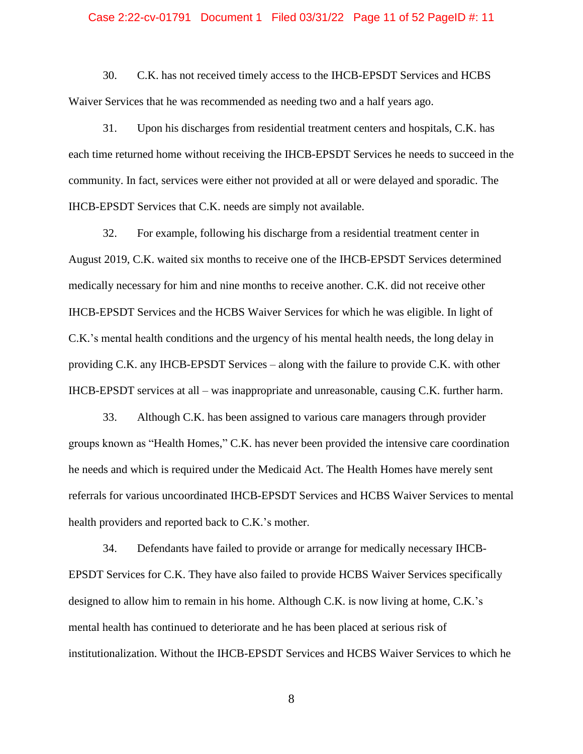### Case 2:22-cv-01791 Document 1 Filed 03/31/22 Page 11 of 52 PageID #: 11

30. C.K. has not received timely access to the IHCB-EPSDT Services and HCBS Waiver Services that he was recommended as needing two and a half years ago.

31. Upon his discharges from residential treatment centers and hospitals, C.K. has each time returned home without receiving the IHCB-EPSDT Services he needs to succeed in the community. In fact, services were either not provided at all or were delayed and sporadic. The IHCB-EPSDT Services that C.K. needs are simply not available.

32. For example, following his discharge from a residential treatment center in August 2019, C.K. waited six months to receive one of the IHCB-EPSDT Services determined medically necessary for him and nine months to receive another. C.K. did not receive other IHCB-EPSDT Services and the HCBS Waiver Services for which he was eligible. In light of C.K.'s mental health conditions and the urgency of his mental health needs, the long delay in providing C.K. any IHCB-EPSDT Services – along with the failure to provide C.K. with other IHCB-EPSDT services at all – was inappropriate and unreasonable, causing C.K. further harm.

33. Although C.K. has been assigned to various care managers through provider groups known as "Health Homes," C.K. has never been provided the intensive care coordination he needs and which is required under the Medicaid Act. The Health Homes have merely sent referrals for various uncoordinated IHCB-EPSDT Services and HCBS Waiver Services to mental health providers and reported back to C.K.'s mother.

34. Defendants have failed to provide or arrange for medically necessary IHCB-EPSDT Services for C.K. They have also failed to provide HCBS Waiver Services specifically designed to allow him to remain in his home. Although C.K. is now living at home, C.K.'s mental health has continued to deteriorate and he has been placed at serious risk of institutionalization. Without the IHCB-EPSDT Services and HCBS Waiver Services to which he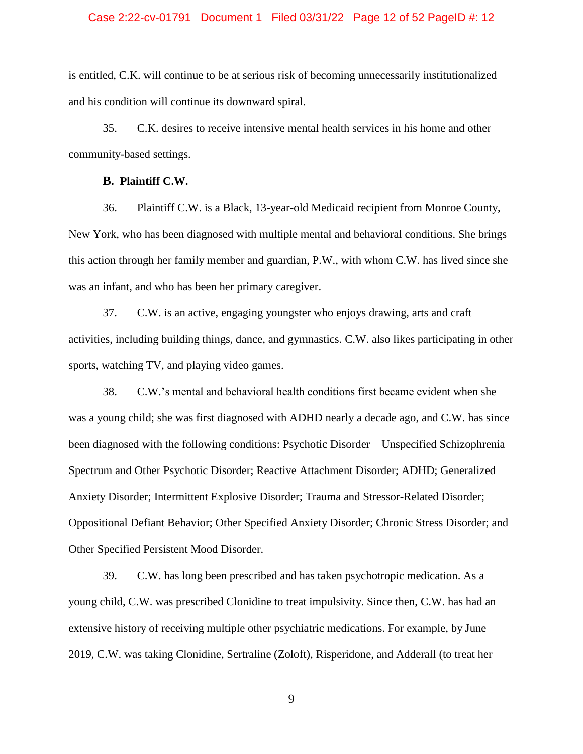# Case 2:22-cv-01791 Document 1 Filed 03/31/22 Page 12 of 52 PageID #: 12

is entitled, C.K. will continue to be at serious risk of becoming unnecessarily institutionalized and his condition will continue its downward spiral.

35. C.K. desires to receive intensive mental health services in his home and other community-based settings.

#### **B. Plaintiff C.W.**

36. Plaintiff C.W. is a Black, 13-year-old Medicaid recipient from Monroe County, New York, who has been diagnosed with multiple mental and behavioral conditions. She brings this action through her family member and guardian, P.W., with whom C.W. has lived since she was an infant, and who has been her primary caregiver.

37. C.W. is an active, engaging youngster who enjoys drawing, arts and craft activities, including building things, dance, and gymnastics. C.W. also likes participating in other sports, watching TV, and playing video games.

38. C.W.'s mental and behavioral health conditions first became evident when she was a young child; she was first diagnosed with ADHD nearly a decade ago, and C.W. has since been diagnosed with the following conditions: Psychotic Disorder – Unspecified Schizophrenia Spectrum and Other Psychotic Disorder; Reactive Attachment Disorder; ADHD; Generalized Anxiety Disorder; Intermittent Explosive Disorder; Trauma and Stressor-Related Disorder; Oppositional Defiant Behavior; Other Specified Anxiety Disorder; Chronic Stress Disorder; and Other Specified Persistent Mood Disorder.

39. C.W. has long been prescribed and has taken psychotropic medication. As a young child, C.W. was prescribed Clonidine to treat impulsivity. Since then, C.W. has had an extensive history of receiving multiple other psychiatric medications. For example, by June 2019, C.W. was taking Clonidine, Sertraline (Zoloft), Risperidone, and Adderall (to treat her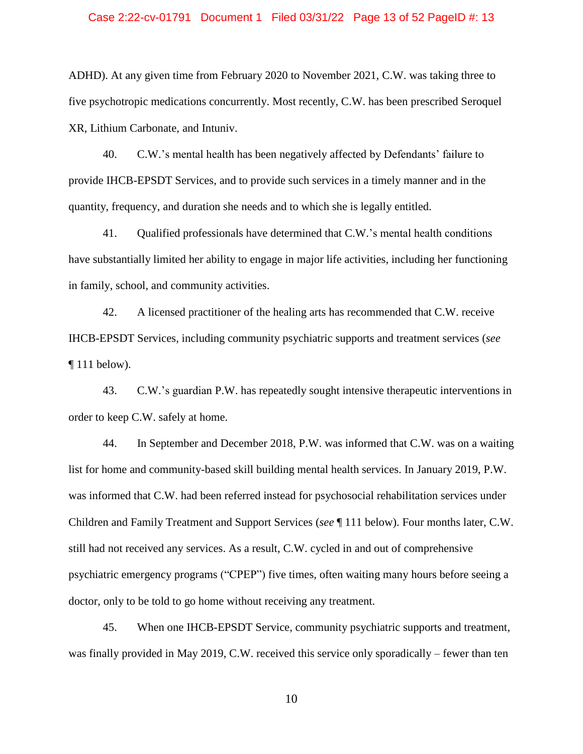### Case 2:22-cv-01791 Document 1 Filed 03/31/22 Page 13 of 52 PageID #: 13

ADHD). At any given time from February 2020 to November 2021, C.W. was taking three to five psychotropic medications concurrently. Most recently, C.W. has been prescribed Seroquel XR, Lithium Carbonate, and Intuniv.

40. C.W.'s mental health has been negatively affected by Defendants' failure to provide IHCB-EPSDT Services, and to provide such services in a timely manner and in the quantity, frequency, and duration she needs and to which she is legally entitled.

41. Qualified professionals have determined that C.W.'s mental health conditions have substantially limited her ability to engage in major life activities, including her functioning in family, school, and community activities.

42. A licensed practitioner of the healing arts has recommended that C.W. receive IHCB-EPSDT Services, including community psychiatric supports and treatment services (*see*  $\P$  111 below).

43. C.W.'s guardian P.W. has repeatedly sought intensive therapeutic interventions in order to keep C.W. safely at home.

44. In September and December 2018, P.W. was informed that C.W. was on a waiting list for home and community-based skill building mental health services. In January 2019, P.W. was informed that C.W. had been referred instead for psychosocial rehabilitation services under Children and Family Treatment and Support Services (*see* ¶ 111 below). Four months later, C.W. still had not received any services. As a result, C.W. cycled in and out of comprehensive psychiatric emergency programs ("CPEP") five times, often waiting many hours before seeing a doctor, only to be told to go home without receiving any treatment.

45. When one IHCB-EPSDT Service, community psychiatric supports and treatment, was finally provided in May 2019, C.W. received this service only sporadically – fewer than ten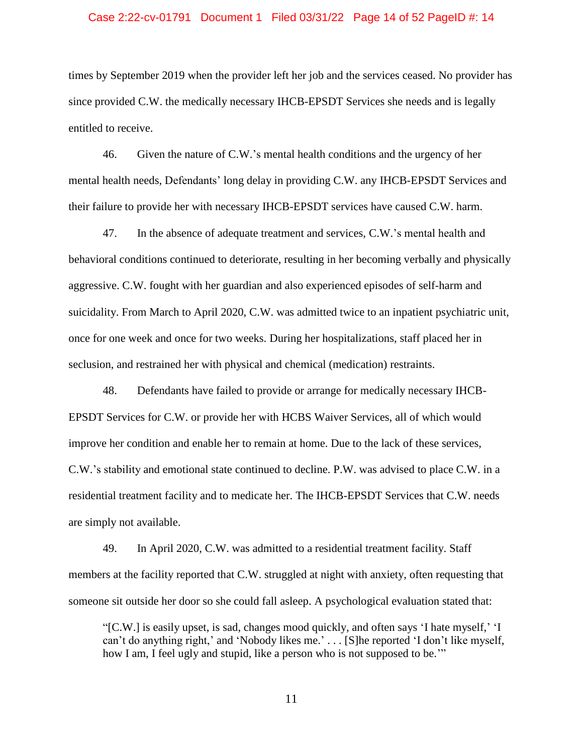### Case 2:22-cv-01791 Document 1 Filed 03/31/22 Page 14 of 52 PageID #: 14

times by September 2019 when the provider left her job and the services ceased. No provider has since provided C.W. the medically necessary IHCB-EPSDT Services she needs and is legally entitled to receive.

46. Given the nature of C.W.'s mental health conditions and the urgency of her mental health needs, Defendants' long delay in providing C.W. any IHCB-EPSDT Services and their failure to provide her with necessary IHCB-EPSDT services have caused C.W. harm.

47. In the absence of adequate treatment and services, C.W.'s mental health and behavioral conditions continued to deteriorate, resulting in her becoming verbally and physically aggressive. C.W. fought with her guardian and also experienced episodes of self-harm and suicidality. From March to April 2020, C.W. was admitted twice to an inpatient psychiatric unit, once for one week and once for two weeks. During her hospitalizations, staff placed her in seclusion, and restrained her with physical and chemical (medication) restraints.

48. Defendants have failed to provide or arrange for medically necessary IHCB-EPSDT Services for C.W. or provide her with HCBS Waiver Services, all of which would improve her condition and enable her to remain at home. Due to the lack of these services, C.W.'s stability and emotional state continued to decline. P.W. was advised to place C.W. in a residential treatment facility and to medicate her. The IHCB-EPSDT Services that C.W. needs are simply not available.

49. In April 2020, C.W. was admitted to a residential treatment facility. Staff members at the facility reported that C.W. struggled at night with anxiety, often requesting that someone sit outside her door so she could fall asleep. A psychological evaluation stated that:

"[C.W.] is easily upset, is sad, changes mood quickly, and often says 'I hate myself,' 'I can't do anything right,' and 'Nobody likes me.' . . . [S]he reported 'I don't like myself, how I am, I feel ugly and stupid, like a person who is not supposed to be."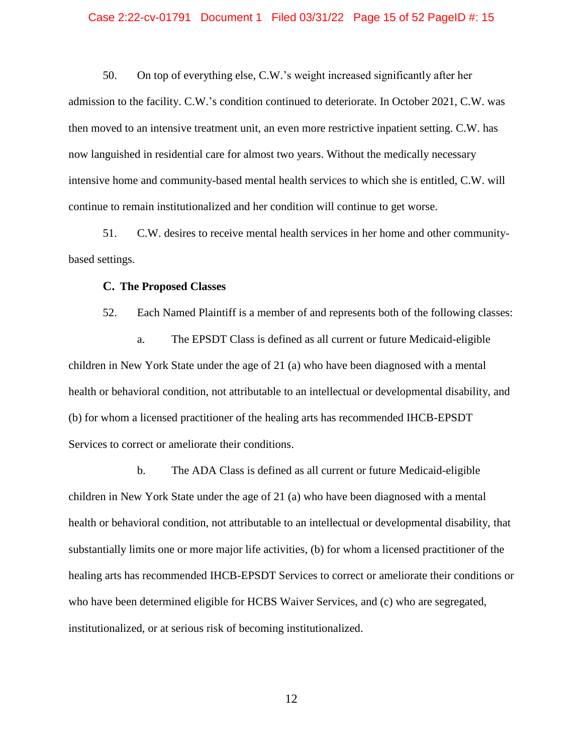### Case 2:22-cv-01791 Document 1 Filed 03/31/22 Page 15 of 52 PageID #: 15

50. On top of everything else, C.W.'s weight increased significantly after her admission to the facility. C.W.'s condition continued to deteriorate. In October 2021, C.W. was then moved to an intensive treatment unit, an even more restrictive inpatient setting. C.W. has now languished in residential care for almost two years. Without the medically necessary intensive home and community-based mental health services to which she is entitled, C.W. will continue to remain institutionalized and her condition will continue to get worse.

51. C.W. desires to receive mental health services in her home and other communitybased settings.

# **C. The Proposed Classes**

52. Each Named Plaintiff is a member of and represents both of the following classes:

a. The EPSDT Class is defined as all current or future Medicaid-eligible children in New York State under the age of 21 (a) who have been diagnosed with a mental health or behavioral condition, not attributable to an intellectual or developmental disability, and (b) for whom a licensed practitioner of the healing arts has recommended IHCB-EPSDT Services to correct or ameliorate their conditions.

b. The ADA Class is defined as all current or future Medicaid-eligible children in New York State under the age of 21 (a) who have been diagnosed with a mental health or behavioral condition, not attributable to an intellectual or developmental disability, that substantially limits one or more major life activities, (b) for whom a licensed practitioner of the healing arts has recommended IHCB-EPSDT Services to correct or ameliorate their conditions or who have been determined eligible for HCBS Waiver Services, and (c) who are segregated, institutionalized, or at serious risk of becoming institutionalized.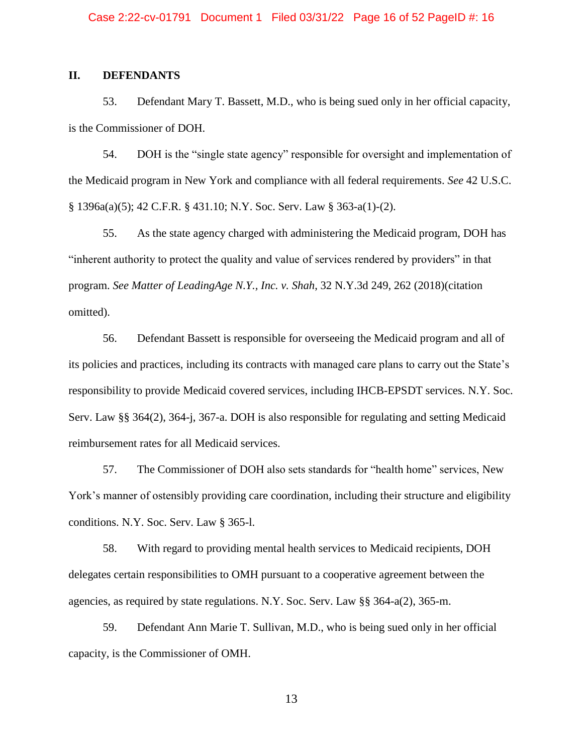# <span id="page-15-0"></span>**II. DEFENDANTS**

53. Defendant Mary T. Bassett, M.D., who is being sued only in her official capacity, is the Commissioner of DOH.

54. DOH is the "single state agency" responsible for oversight and implementation of the Medicaid program in New York and compliance with all federal requirements. *See* 42 U.S.C. § 1396a(a)(5); 42 C.F.R. § 431.10; N.Y. Soc. Serv. Law § 363-a(1)-(2).

55. As the state agency charged with administering the Medicaid program, DOH has "inherent authority to protect the quality and value of services rendered by providers" in that program. *See Matter of LeadingAge N.Y., Inc. v. Shah*, 32 N.Y.3d 249, 262 (2018)(citation omitted).

56. Defendant Bassett is responsible for overseeing the Medicaid program and all of its policies and practices, including its contracts with managed care plans to carry out the State's responsibility to provide Medicaid covered services, including IHCB-EPSDT services. N.Y. Soc. Serv. Law §§ 364(2), 364-j, 367-a. DOH is also responsible for regulating and setting Medicaid reimbursement rates for all Medicaid services.

57. The Commissioner of DOH also sets standards for "health home" services, New York's manner of ostensibly providing care coordination, including their structure and eligibility conditions. N.Y. Soc. Serv. Law § 365-l.

58. With regard to providing mental health services to Medicaid recipients, DOH delegates certain responsibilities to OMH pursuant to a cooperative agreement between the agencies, as required by state regulations. N.Y. Soc. Serv. Law §§ 364-a(2), 365-m.

59. Defendant Ann Marie T. Sullivan, M.D., who is being sued only in her official capacity, is the Commissioner of OMH.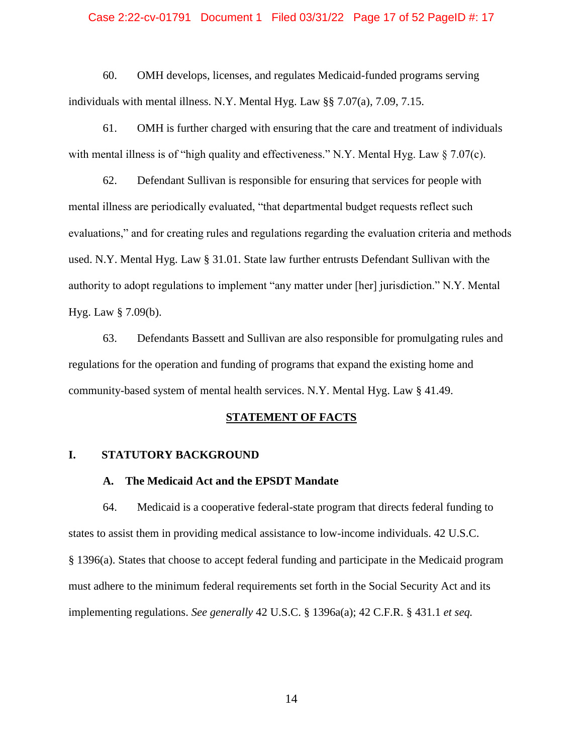# Case 2:22-cv-01791 Document 1 Filed 03/31/22 Page 17 of 52 PageID #: 17

60. OMH develops, licenses, and regulates Medicaid-funded programs serving individuals with mental illness. N.Y. Mental Hyg. Law §§ 7.07(a), 7.09, 7.15.

61. OMH is further charged with ensuring that the care and treatment of individuals with mental illness is of "high quality and effectiveness." N.Y. Mental Hyg. Law § 7.07(c).

62. Defendant Sullivan is responsible for ensuring that services for people with mental illness are periodically evaluated, "that departmental budget requests reflect such evaluations," and for creating rules and regulations regarding the evaluation criteria and methods used. N.Y. Mental Hyg. Law § 31.01. State law further entrusts Defendant Sullivan with the authority to adopt regulations to implement "any matter under [her] jurisdiction." N.Y. Mental Hyg. Law § 7.09(b).

63. Defendants Bassett and Sullivan are also responsible for promulgating rules and regulations for the operation and funding of programs that expand the existing home and community-based system of mental health services. N.Y. Mental Hyg. Law § 41.49.

### **STATEMENT OF FACTS**

### <span id="page-16-2"></span><span id="page-16-1"></span><span id="page-16-0"></span>**I. STATUTORY BACKGROUND**

# **A. The Medicaid Act and the EPSDT Mandate**

64. Medicaid is a cooperative federal-state program that directs federal funding to states to assist them in providing medical assistance to low-income individuals. 42 U.S.C. § 1396(a). States that choose to accept federal funding and participate in the Medicaid program must adhere to the minimum federal requirements set forth in the Social Security Act and its implementing regulations. *See generally* 42 U.S.C. § 1396a(a); 42 C.F.R. § 431.1 *et seq.*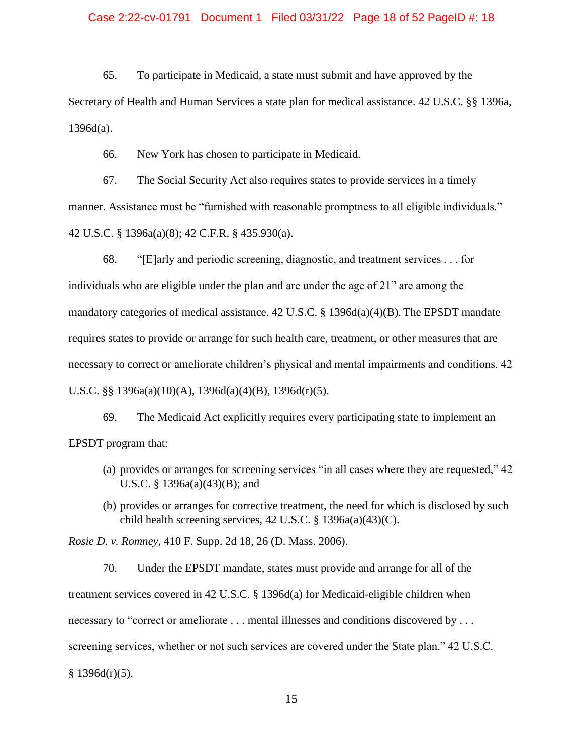# Case 2:22-cv-01791 Document 1 Filed 03/31/22 Page 18 of 52 PageID #: 18

65. To participate in Medicaid, a state must submit and have approved by the Secretary of Health and Human Services a state plan for medical assistance. 42 U.S.C. §§ 1396a,  $1396d(a)$ .

66. New York has chosen to participate in Medicaid.

67. The Social Security Act also requires states to provide services in a timely manner. Assistance must be "furnished with reasonable promptness to all eligible individuals." 42 U.S.C. § 1396a(a)(8); 42 C.F.R. § 435.930(a).

68. "[E]arly and periodic screening, diagnostic, and treatment services . . . for individuals who are eligible under the plan and are under the age of 21" are among the mandatory categories of medical assistance. 42 U.S.C. § 1396d(a)(4)(B). The EPSDT mandate requires states to provide or arrange for such health care, treatment, or other measures that are necessary to correct or ameliorate children's physical and mental impairments and conditions. 42 U.S.C. §§ 1396a(a)(10)(A), 1396d(a)(4)(B), 1396d(r)(5).

69. The Medicaid Act explicitly requires every participating state to implement an EPSDT program that:

- (a) provides or arranges for screening services "in all cases where they are requested," 42 U.S.C. § 1396a(a)(43)(B); and
- (b) provides or arranges for corrective treatment, the need for which is disclosed by such child health screening services, 42 U.S.C. § 1396a(a)(43)(C).

*Rosie D. v. Romney*, 410 F. Supp. 2d 18, 26 (D. Mass. 2006).

70. Under the EPSDT mandate, states must provide and arrange for all of the treatment services covered in 42 U.S.C. § 1396d(a) for Medicaid-eligible children when necessary to "correct or ameliorate . . . mental illnesses and conditions discovered by . . . screening services, whether or not such services are covered under the State plan." 42 U.S.C.  $§$  1396d(r)(5).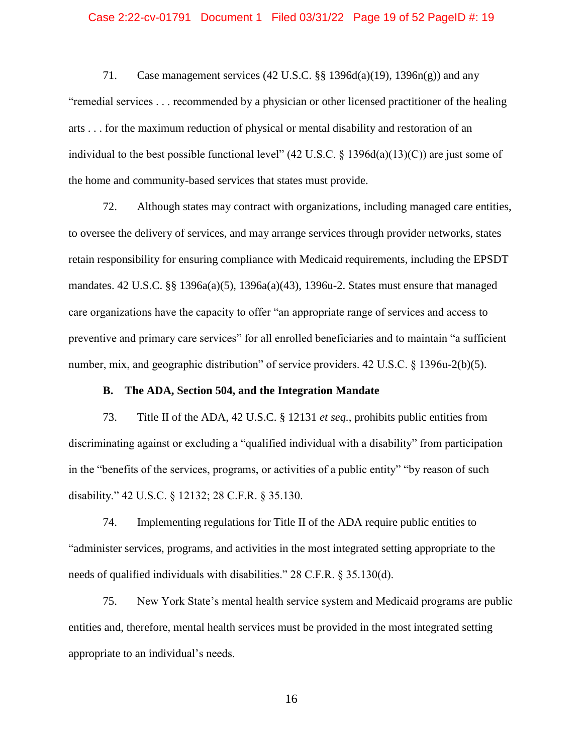### Case 2:22-cv-01791 Document 1 Filed 03/31/22 Page 19 of 52 PageID #: 19

71. Case management services (42 U.S.C. §§ 1396d(a)(19), 1396n(g)) and any "remedial services . . . recommended by a physician or other licensed practitioner of the healing arts . . . for the maximum reduction of physical or mental disability and restoration of an individual to the best possible functional level"  $(42 \text{ U.S.C.} \text{ § } 1396d(a)(13)(C))$  are just some of the home and community-based services that states must provide.

72. Although states may contract with organizations, including managed care entities, to oversee the delivery of services, and may arrange services through provider networks, states retain responsibility for ensuring compliance with Medicaid requirements, including the EPSDT mandates. 42 U.S.C. §§ 1396a(a)(5), 1396a(a)(43), 1396u-2. States must ensure that managed care organizations have the capacity to offer "an appropriate range of services and access to preventive and primary care services" for all enrolled beneficiaries and to maintain "a sufficient number, mix, and geographic distribution" of service providers. 42 U.S.C. § 1396u-2(b)(5).

# **B. The ADA, Section 504, and the Integration Mandate**

<span id="page-18-0"></span>73. Title II of the ADA, 42 U.S.C. § 12131 *et seq.*, prohibits public entities from discriminating against or excluding a "qualified individual with a disability" from participation in the "benefits of the services, programs, or activities of a public entity" "by reason of such disability." 42 U.S.C. § 12132; 28 C.F.R. § 35.130.

74. Implementing regulations for Title II of the ADA require public entities to "administer services, programs, and activities in the most integrated setting appropriate to the needs of qualified individuals with disabilities." 28 C.F.R. § 35.130(d).

75. New York State's mental health service system and Medicaid programs are public entities and, therefore, mental health services must be provided in the most integrated setting appropriate to an individual's needs.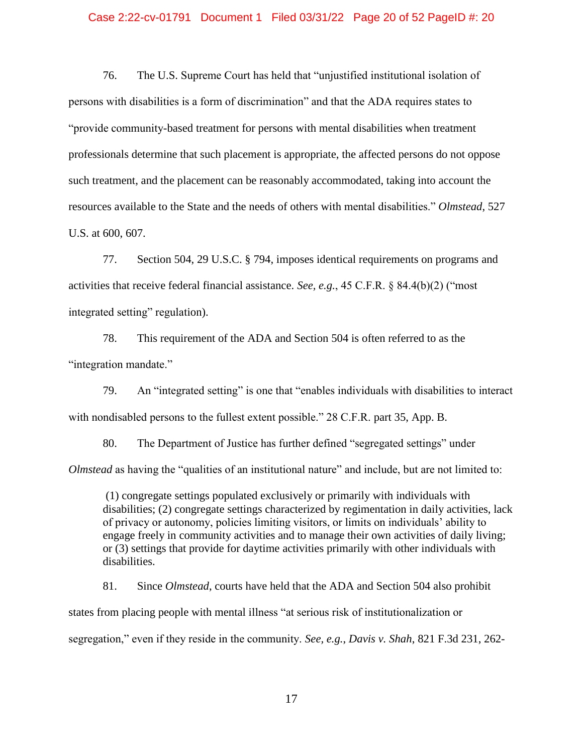## Case 2:22-cv-01791 Document 1 Filed 03/31/22 Page 20 of 52 PageID #: 20

76. The U.S. Supreme Court has held that "unjustified institutional isolation of persons with disabilities is a form of discrimination" and that the ADA requires states to "provide community-based treatment for persons with mental disabilities when treatment professionals determine that such placement is appropriate, the affected persons do not oppose such treatment, and the placement can be reasonably accommodated, taking into account the resources available to the State and the needs of others with mental disabilities." *Olmstead*, 527 U.S. at 600, 607.

77. Section 504, 29 U.S.C. § 794, imposes identical requirements on programs and activities that receive federal financial assistance. *See, e.g.*, 45 C.F.R. § 84.4(b)(2) ("most integrated setting" regulation).

78. This requirement of the ADA and Section 504 is often referred to as the "integration mandate."

79. An "integrated setting" is one that "enables individuals with disabilities to interact with nondisabled persons to the fullest extent possible." 28 C.F.R. part 35, App. B.

80. The Department of Justice has further defined "segregated settings" under *Olmstead* as having the "qualities of an institutional nature" and include, but are not limited to:

(1) congregate settings populated exclusively or primarily with individuals with disabilities; (2) congregate settings characterized by regimentation in daily activities, lack of privacy or autonomy, policies limiting visitors, or limits on individuals' ability to engage freely in community activities and to manage their own activities of daily living; or (3) settings that provide for daytime activities primarily with other individuals with disabilities.

81. Since *Olmstead*, courts have held that the ADA and Section 504 also prohibit states from placing people with mental illness "at serious risk of institutionalization or segregation," even if they reside in the community. *See, e.g.*, *Davis v. Shah*, 821 F.3d 231, 262-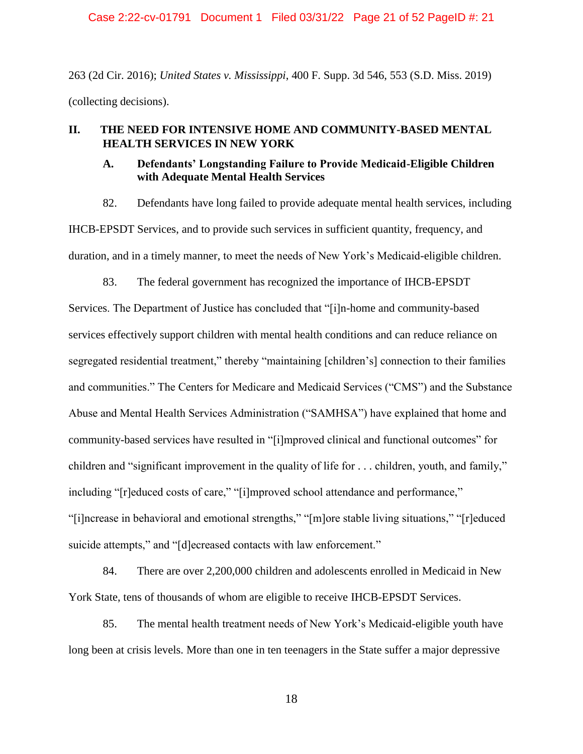Case 2:22-cv-01791 Document 1 Filed 03/31/22 Page 21 of 52 PageID #: 21

263 (2d Cir. 2016); *United States v. Mississippi*, 400 F. Supp. 3d 546, 553 (S.D. Miss. 2019) (collecting decisions).

# <span id="page-20-1"></span><span id="page-20-0"></span>**II. THE NEED FOR INTENSIVE HOME AND COMMUNITY-BASED MENTAL HEALTH SERVICES IN NEW YORK**

# **A. Defendants' Longstanding Failure to Provide Medicaid-Eligible Children with Adequate Mental Health Services**

82. Defendants have long failed to provide adequate mental health services, including IHCB-EPSDT Services, and to provide such services in sufficient quantity, frequency, and duration, and in a timely manner, to meet the needs of New York's Medicaid-eligible children.

83. The federal government has recognized the importance of IHCB-EPSDT

Services. The Department of Justice has concluded that "[i]n-home and community-based services effectively support children with mental health conditions and can reduce reliance on segregated residential treatment," thereby "maintaining [children's] connection to their families and communities." The Centers for Medicare and Medicaid Services ("CMS") and the Substance Abuse and Mental Health Services Administration ("SAMHSA") have explained that home and community-based services have resulted in "[i]mproved clinical and functional outcomes" for children and "significant improvement in the quality of life for . . . children, youth, and family," including "[r]educed costs of care," "[i]mproved school attendance and performance," "[i]ncrease in behavioral and emotional strengths," "[m]ore stable living situations," "[r]educed suicide attempts," and "[d]ecreased contacts with law enforcement."

84. There are over 2,200,000 children and adolescents enrolled in Medicaid in New York State, tens of thousands of whom are eligible to receive IHCB-EPSDT Services.

85. The mental health treatment needs of New York's Medicaid-eligible youth have long been at crisis levels. More than one in ten teenagers in the State suffer a major depressive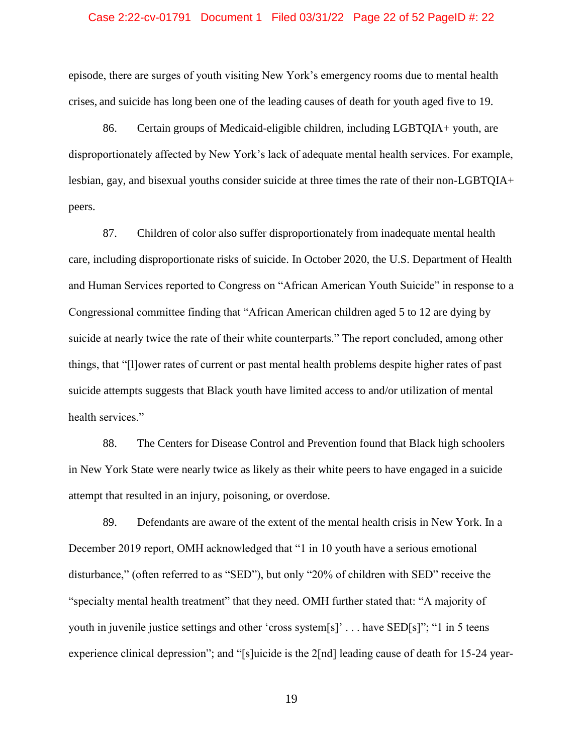### Case 2:22-cv-01791 Document 1 Filed 03/31/22 Page 22 of 52 PageID #: 22

episode, there are surges of youth visiting New York's emergency rooms due to mental health crises, and suicide has long been one of the leading causes of death for youth aged five to 19.

86. Certain groups of Medicaid-eligible children, including LGBTQIA+ youth, are disproportionately affected by New York's lack of adequate mental health services. For example, lesbian, gay, and bisexual youths consider suicide at three times the rate of their non-LGBTQIA+ peers.

87. Children of color also suffer disproportionately from inadequate mental health care, including disproportionate risks of suicide. In October 2020, the U.S. Department of Health and Human Services reported to Congress on "African American Youth Suicide" in response to a Congressional committee finding that "African American children aged 5 to 12 are dying by suicide at nearly twice the rate of their white counterparts." The report concluded, among other things, that "[l]ower rates of current or past mental health problems despite higher rates of past suicide attempts suggests that Black youth have limited access to and/or utilization of mental health services."

88. The Centers for Disease Control and Prevention found that Black high schoolers in New York State were nearly twice as likely as their white peers to have engaged in a suicide attempt that resulted in an injury, poisoning, or overdose.

89. Defendants are aware of the extent of the mental health crisis in New York. In a December 2019 report, OMH acknowledged that "1 in 10 youth have a serious emotional disturbance," (often referred to as "SED"), but only "20% of children with SED" receive the "specialty mental health treatment" that they need. OMH further stated that: "A majority of youth in juvenile justice settings and other 'cross system[s]' . . . have SED[s]"; "1 in 5 teens experience clinical depression"; and "[s]uicide is the 2[nd] leading cause of death for 15-24 year-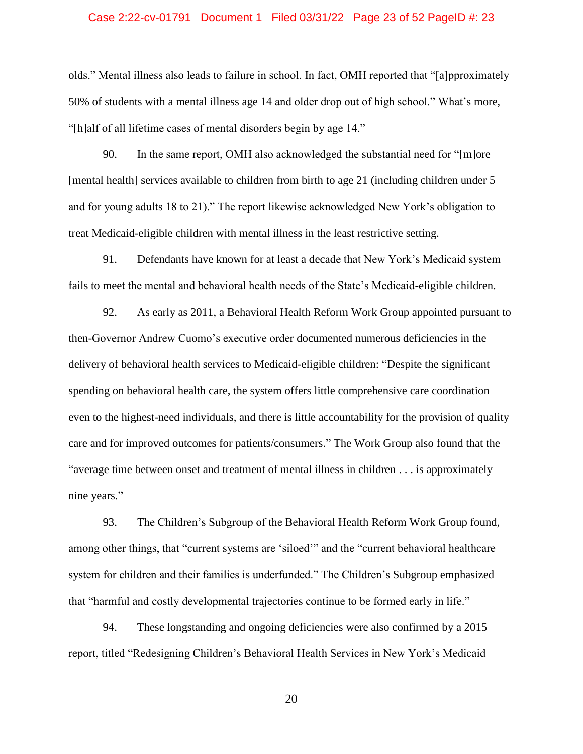### Case 2:22-cv-01791 Document 1 Filed 03/31/22 Page 23 of 52 PageID #: 23

olds." Mental illness also leads to failure in school. In fact, OMH reported that "[a]pproximately 50% of students with a mental illness age 14 and older drop out of high school." What's more, "[h]alf of all lifetime cases of mental disorders begin by age 14."

90. In the same report, OMH also acknowledged the substantial need for "[m]ore [mental health] services available to children from birth to age 21 (including children under 5 and for young adults 18 to 21)." The report likewise acknowledged New York's obligation to treat Medicaid-eligible children with mental illness in the least restrictive setting.

91. Defendants have known for at least a decade that New York's Medicaid system fails to meet the mental and behavioral health needs of the State's Medicaid-eligible children.

92. As early as 2011, a Behavioral Health Reform Work Group appointed pursuant to then-Governor Andrew Cuomo's executive order documented numerous deficiencies in the delivery of behavioral health services to Medicaid-eligible children: "Despite the significant spending on behavioral health care, the system offers little comprehensive care coordination even to the highest-need individuals, and there is little accountability for the provision of quality care and for improved outcomes for patients/consumers." The Work Group also found that the "average time between onset and treatment of mental illness in children . . . is approximately nine years."

93. The Children's Subgroup of the Behavioral Health Reform Work Group found, among other things, that "current systems are 'siloed'" and the "current behavioral healthcare system for children and their families is underfunded." The Children's Subgroup emphasized that "harmful and costly developmental trajectories continue to be formed early in life."

94. These longstanding and ongoing deficiencies were also confirmed by a 2015 report, titled "Redesigning Children's Behavioral Health Services in New York's Medicaid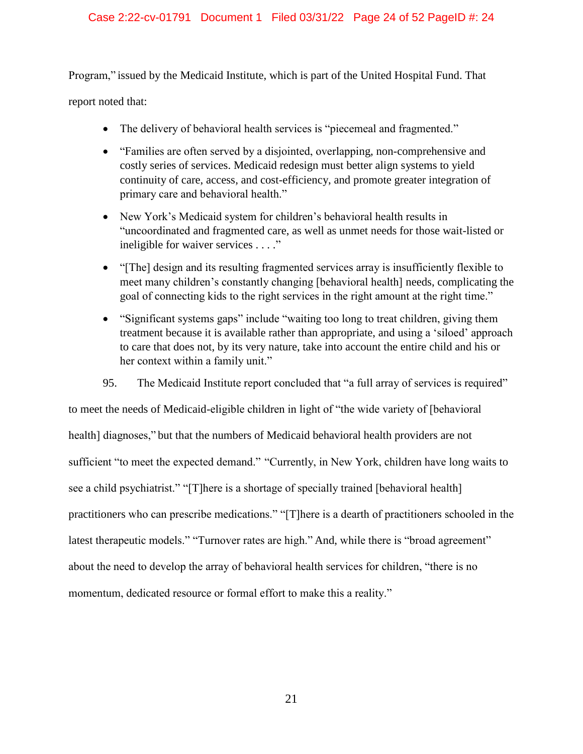# Case 2:22-cv-01791 Document 1 Filed 03/31/22 Page 24 of 52 PageID #: 24

Program," issued by the Medicaid Institute, which is part of the United Hospital Fund. That

report noted that:

- The delivery of behavioral health services is "piecemeal and fragmented."
- "Families are often served by a disjointed, overlapping, non-comprehensive and costly series of services. Medicaid redesign must better align systems to yield continuity of care, access, and cost-efficiency, and promote greater integration of primary care and behavioral health."
- New York's Medicaid system for children's behavioral health results in "uncoordinated and fragmented care, as well as unmet needs for those wait-listed or ineligible for waiver services . . . ."
- "The] design and its resulting fragmented services array is insufficiently flexible to meet many children's constantly changing [behavioral health] needs, complicating the goal of connecting kids to the right services in the right amount at the right time."
- "Significant systems gaps" include "waiting too long to treat children, giving them treatment because it is available rather than appropriate, and using a 'siloed' approach to care that does not, by its very nature, take into account the entire child and his or her context within a family unit."
- 95. The Medicaid Institute report concluded that "a full array of services is required"

to meet the needs of Medicaid-eligible children in light of "the wide variety of [behavioral health] diagnoses," but that the numbers of Medicaid behavioral health providers are not sufficient "to meet the expected demand." "Currently, in New York, children have long waits to see a child psychiatrist." "[T]here is a shortage of specially trained [behavioral health] practitioners who can prescribe medications." "[T]here is a dearth of practitioners schooled in the latest therapeutic models." "Turnover rates are high." And, while there is "broad agreement" about the need to develop the array of behavioral health services for children, "there is no momentum, dedicated resource or formal effort to make this a reality."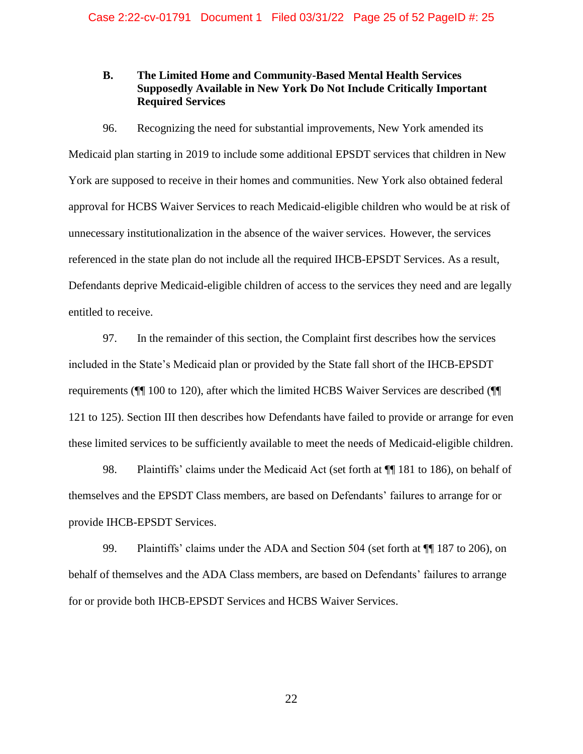# <span id="page-24-0"></span>**B. The Limited Home and Community-Based Mental Health Services Supposedly Available in New York Do Not Include Critically Important Required Services**

96. Recognizing the need for substantial improvements, New York amended its Medicaid plan starting in 2019 to include some additional EPSDT services that children in New York are supposed to receive in their homes and communities. New York also obtained federal approval for HCBS Waiver Services to reach Medicaid-eligible children who would be at risk of unnecessary institutionalization in the absence of the waiver services. However, the services referenced in the state plan do not include all the required IHCB-EPSDT Services. As a result, Defendants deprive Medicaid-eligible children of access to the services they need and are legally entitled to receive.

97. In the remainder of this section, the Complaint first describes how the services included in the State's Medicaid plan or provided by the State fall short of the IHCB-EPSDT requirements (¶¶ 100 to 120), after which the limited HCBS Waiver Services are described (¶¶ 121 to 125). Section III then describes how Defendants have failed to provide or arrange for even these limited services to be sufficiently available to meet the needs of Medicaid-eligible children.

98. Plaintiffs' claims under the Medicaid Act (set forth at  $\P$  181 to 186), on behalf of themselves and the EPSDT Class members, are based on Defendants' failures to arrange for or provide IHCB-EPSDT Services.

99. Plaintiffs' claims under the ADA and Section 504 (set forth at ¶¶ 187 to 206), on behalf of themselves and the ADA Class members, are based on Defendants' failures to arrange for or provide both IHCB-EPSDT Services and HCBS Waiver Services.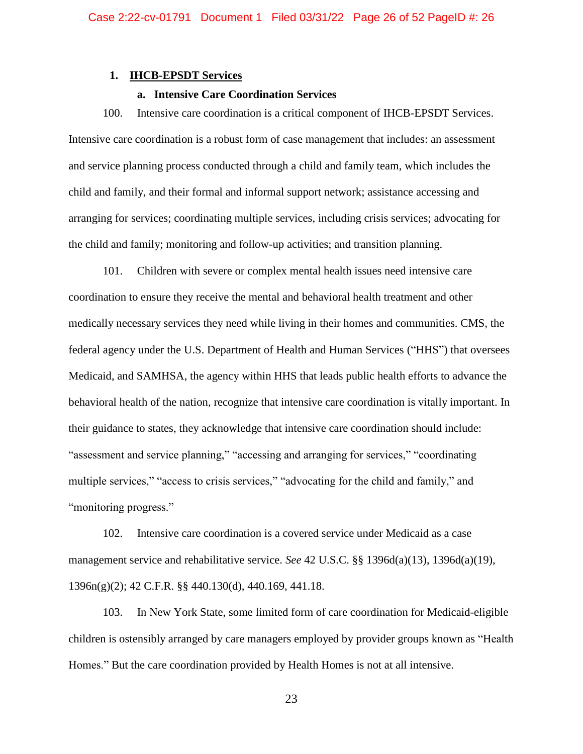# <span id="page-25-0"></span>**1. IHCB-EPSDT Services**

# **a. Intensive Care Coordination Services**

<span id="page-25-1"></span>100. Intensive care coordination is a critical component of IHCB-EPSDT Services. Intensive care coordination is a robust form of case management that includes: an assessment and service planning process conducted through a child and family team, which includes the child and family, and their formal and informal support network; assistance accessing and arranging for services; coordinating multiple services, including crisis services; advocating for the child and family; monitoring and follow-up activities; and transition planning.

101. Children with severe or complex mental health issues need intensive care coordination to ensure they receive the mental and behavioral health treatment and other medically necessary services they need while living in their homes and communities. CMS, the federal agency under the U.S. Department of Health and Human Services ("HHS") that oversees Medicaid, and SAMHSA, the agency within HHS that leads public health efforts to advance the behavioral health of the nation, recognize that intensive care coordination is vitally important. In their guidance to states, they acknowledge that intensive care coordination should include: "assessment and service planning," "accessing and arranging for services," "coordinating multiple services," "access to crisis services," "advocating for the child and family," and "monitoring progress."

102. Intensive care coordination is a covered service under Medicaid as a case management service and rehabilitative service. *See* 42 U.S.C. §§ 1396d(a)(13), 1396d(a)(19), 1396n(g)(2); 42 C.F.R. §§ 440.130(d), 440.169, 441.18.

103. In New York State, some limited form of care coordination for Medicaid-eligible children is ostensibly arranged by care managers employed by provider groups known as "Health Homes." But the care coordination provided by Health Homes is not at all intensive.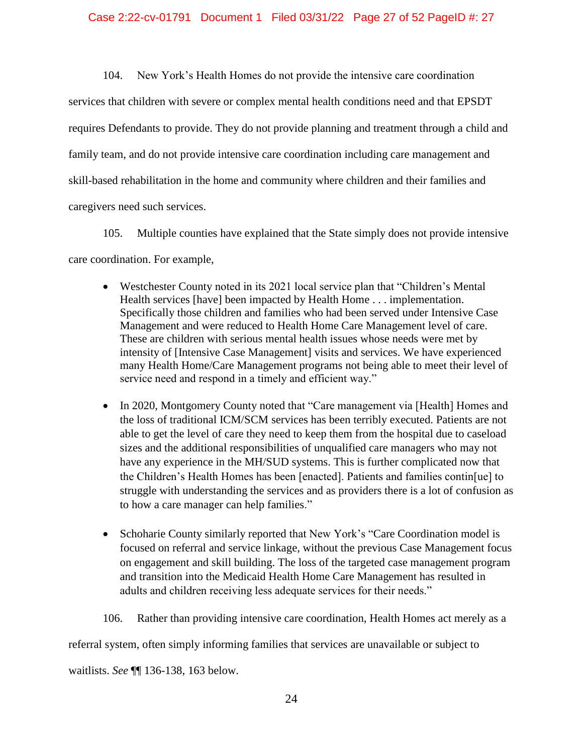# Case 2:22-cv-01791 Document 1 Filed 03/31/22 Page 27 of 52 PageID #: 27

104. New York's Health Homes do not provide the intensive care coordination services that children with severe or complex mental health conditions need and that EPSDT requires Defendants to provide. They do not provide planning and treatment through a child and family team, and do not provide intensive care coordination including care management and skill-based rehabilitation in the home and community where children and their families and caregivers need such services.

105. Multiple counties have explained that the State simply does not provide intensive care coordination. For example,

- Westchester County noted in its 2021 local service plan that "Children's Mental" Health services [have] been impacted by Health Home . . . implementation. Specifically those children and families who had been served under Intensive Case Management and were reduced to Health Home Care Management level of care. These are children with serious mental health issues whose needs were met by intensity of [Intensive Case Management] visits and services. We have experienced many Health Home/Care Management programs not being able to meet their level of service need and respond in a timely and efficient way."
- In 2020, Montgomery County noted that "Care management via [Health] Homes and the loss of traditional ICM/SCM services has been terribly executed. Patients are not able to get the level of care they need to keep them from the hospital due to caseload sizes and the additional responsibilities of unqualified care managers who may not have any experience in the MH/SUD systems. This is further complicated now that the Children's Health Homes has been [enacted]. Patients and families contin[ue] to struggle with understanding the services and as providers there is a lot of confusion as to how a care manager can help families."
- Schoharie County similarly reported that New York's "Care Coordination model is focused on referral and service linkage, without the previous Case Management focus on engagement and skill building. The loss of the targeted case management program and transition into the Medicaid Health Home Care Management has resulted in adults and children receiving less adequate services for their needs."

106. Rather than providing intensive care coordination, Health Homes act merely as a

referral system, often simply informing families that services are unavailable or subject to

waitlists. *See* ¶¶ 136-138, 163 below.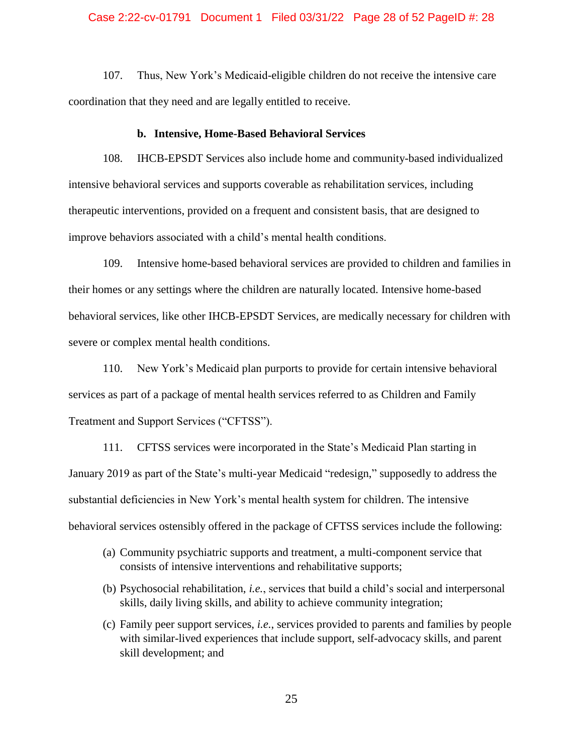# Case 2:22-cv-01791 Document 1 Filed 03/31/22 Page 28 of 52 PageID #: 28

107. Thus, New York's Medicaid-eligible children do not receive the intensive care coordination that they need and are legally entitled to receive.

#### **b. Intensive, Home-Based Behavioral Services**

<span id="page-27-0"></span>108. IHCB-EPSDT Services also include home and community-based individualized intensive behavioral services and supports coverable as rehabilitation services, including therapeutic interventions, provided on a frequent and consistent basis, that are designed to improve behaviors associated with a child's mental health conditions.

109. Intensive home-based behavioral services are provided to children and families in their homes or any settings where the children are naturally located. Intensive home-based behavioral services, like other IHCB-EPSDT Services, are medically necessary for children with severe or complex mental health conditions.

110. New York's Medicaid plan purports to provide for certain intensive behavioral services as part of a package of mental health services referred to as Children and Family Treatment and Support Services ("CFTSS").

111. CFTSS services were incorporated in the State's Medicaid Plan starting in January 2019 as part of the State's multi-year Medicaid "redesign," supposedly to address the substantial deficiencies in New York's mental health system for children. The intensive behavioral services ostensibly offered in the package of CFTSS services include the following:

- (a) Community psychiatric supports and treatment, a multi-component service that consists of intensive interventions and rehabilitative supports;
- (b) Psychosocial rehabilitation, *i.e.*, services that build a child's social and interpersonal skills, daily living skills, and ability to achieve community integration;
- (c) Family peer support services, *i.e.*, services provided to parents and families by people with similar-lived experiences that include support, self-advocacy skills, and parent skill development; and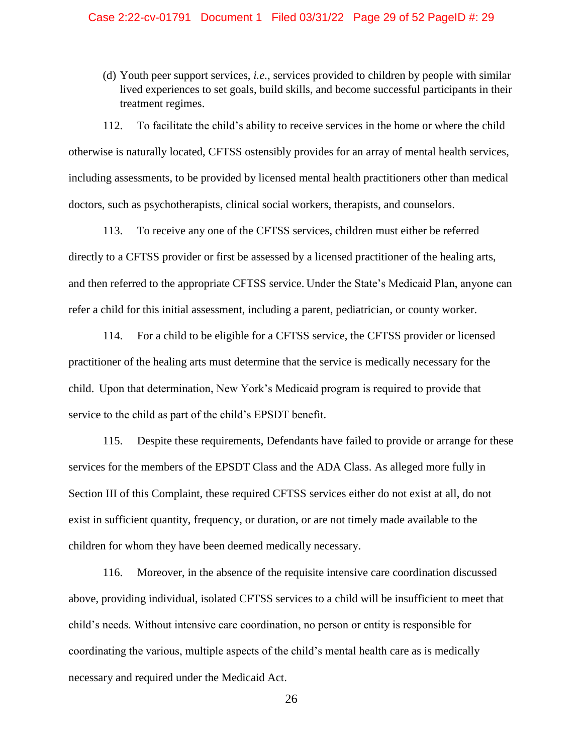# Case 2:22-cv-01791 Document 1 Filed 03/31/22 Page 29 of 52 PageID #: 29

(d) Youth peer support services, *i.e.*, services provided to children by people with similar lived experiences to set goals, build skills, and become successful participants in their treatment regimes.

112. To facilitate the child's ability to receive services in the home or where the child otherwise is naturally located, CFTSS ostensibly provides for an array of mental health services, including assessments, to be provided by licensed mental health practitioners other than medical doctors, such as psychotherapists, clinical social workers, therapists, and counselors.

113. To receive any one of the CFTSS services, children must either be referred directly to a CFTSS provider or first be assessed by a licensed practitioner of the healing arts, and then referred to the appropriate CFTSS service. Under the State's Medicaid Plan, anyone can refer a child for this initial assessment, including a parent, pediatrician, or county worker.

114. For a child to be eligible for a CFTSS service, the CFTSS provider or licensed practitioner of the healing arts must determine that the service is medically necessary for the child. Upon that determination, New York's Medicaid program is required to provide that service to the child as part of the child's EPSDT benefit.

115. Despite these requirements, Defendants have failed to provide or arrange for these services for the members of the EPSDT Class and the ADA Class. As alleged more fully in Section III of this Complaint, these required CFTSS services either do not exist at all, do not exist in sufficient quantity, frequency, or duration, or are not timely made available to the children for whom they have been deemed medically necessary.

116. Moreover, in the absence of the requisite intensive care coordination discussed above, providing individual, isolated CFTSS services to a child will be insufficient to meet that child's needs. Without intensive care coordination, no person or entity is responsible for coordinating the various, multiple aspects of the child's mental health care as is medically necessary and required under the Medicaid Act.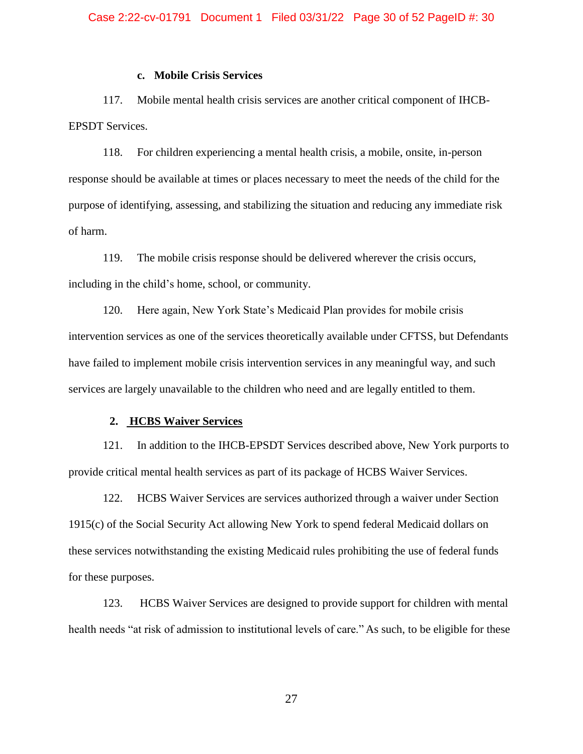# **c. Mobile Crisis Services**

<span id="page-29-0"></span>117. Mobile mental health crisis services are another critical component of IHCB-EPSDT Services.

118. For children experiencing a mental health crisis, a mobile, onsite, in-person response should be available at times or places necessary to meet the needs of the child for the purpose of identifying, assessing, and stabilizing the situation and reducing any immediate risk of harm.

119. The mobile crisis response should be delivered wherever the crisis occurs, including in the child's home, school, or community.

120. Here again, New York State's Medicaid Plan provides for mobile crisis intervention services as one of the services theoretically available under CFTSS, but Defendants have failed to implement mobile crisis intervention services in any meaningful way, and such services are largely unavailable to the children who need and are legally entitled to them.

# <span id="page-29-1"></span>**2. HCBS Waiver Services**

121. In addition to the IHCB-EPSDT Services described above, New York purports to provide critical mental health services as part of its package of HCBS Waiver Services.

122. HCBS Waiver Services are services authorized through a waiver under Section 1915(c) of the Social Security Act allowing New York to spend federal Medicaid dollars on these services notwithstanding the existing Medicaid rules prohibiting the use of federal funds for these purposes.

123. HCBS Waiver Services are designed to provide support for children with mental health needs "at risk of admission to institutional levels of care." As such, to be eligible for these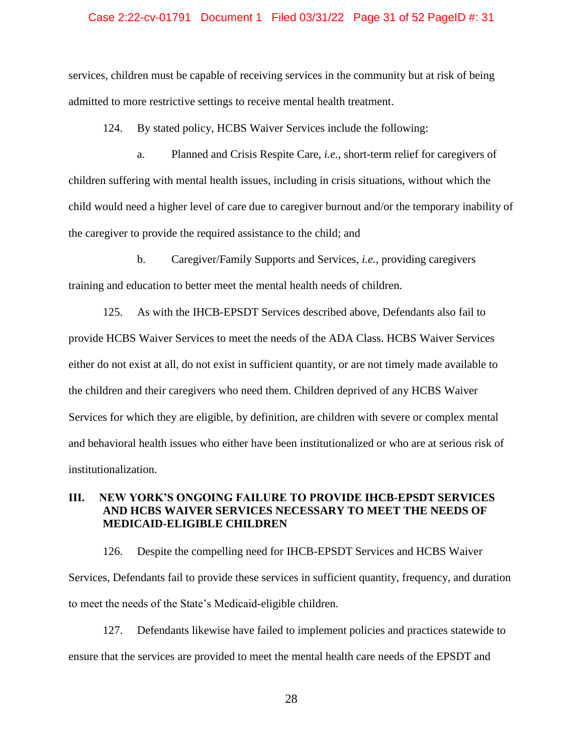### Case 2:22-cv-01791 Document 1 Filed 03/31/22 Page 31 of 52 PageID #: 31

services, children must be capable of receiving services in the community but at risk of being admitted to more restrictive settings to receive mental health treatment.

124. By stated policy, HCBS Waiver Services include the following:

a. Planned and Crisis Respite Care, *i.e.*, short-term relief for caregivers of children suffering with mental health issues, including in crisis situations, without which the child would need a higher level of care due to caregiver burnout and/or the temporary inability of the caregiver to provide the required assistance to the child; and

b. Caregiver/Family Supports and Services, *i.e.*, providing caregivers training and education to better meet the mental health needs of children.

125. As with the IHCB-EPSDT Services described above, Defendants also fail to provide HCBS Waiver Services to meet the needs of the ADA Class. HCBS Waiver Services either do not exist at all, do not exist in sufficient quantity, or are not timely made available to the children and their caregivers who need them. Children deprived of any HCBS Waiver Services for which they are eligible, by definition, are children with severe or complex mental and behavioral health issues who either have been institutionalized or who are at serious risk of institutionalization.

# <span id="page-30-0"></span>**III. NEW YORK'S ONGOING FAILURE TO PROVIDE IHCB-EPSDT SERVICES AND HCBS WAIVER SERVICES NECESSARY TO MEET THE NEEDS OF MEDICAID-ELIGIBLE CHILDREN**

126. Despite the compelling need for IHCB-EPSDT Services and HCBS Waiver Services, Defendants fail to provide these services in sufficient quantity, frequency, and duration to meet the needs of the State's Medicaid-eligible children.

127. Defendants likewise have failed to implement policies and practices statewide to ensure that the services are provided to meet the mental health care needs of the EPSDT and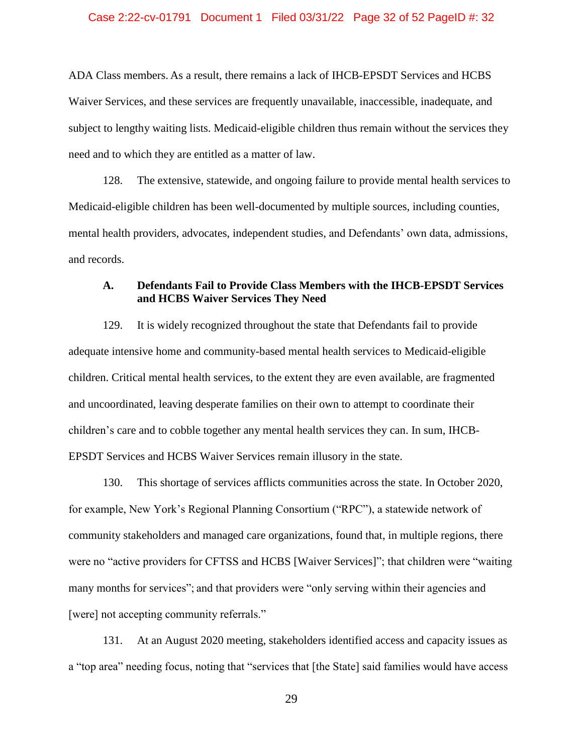# Case 2:22-cv-01791 Document 1 Filed 03/31/22 Page 32 of 52 PageID #: 32

ADA Class members. As a result, there remains a lack of IHCB-EPSDT Services and HCBS Waiver Services, and these services are frequently unavailable, inaccessible, inadequate, and subject to lengthy waiting lists. Medicaid-eligible children thus remain without the services they need and to which they are entitled as a matter of law.

128. The extensive, statewide, and ongoing failure to provide mental health services to Medicaid-eligible children has been well-documented by multiple sources, including counties, mental health providers, advocates, independent studies, and Defendants' own data, admissions, and records.

# <span id="page-31-0"></span>**A. Defendants Fail to Provide Class Members with the IHCB-EPSDT Services and HCBS Waiver Services They Need**

129. It is widely recognized throughout the state that Defendants fail to provide adequate intensive home and community-based mental health services to Medicaid-eligible children. Critical mental health services, to the extent they are even available, are fragmented and uncoordinated, leaving desperate families on their own to attempt to coordinate their children's care and to cobble together any mental health services they can. In sum, IHCB-EPSDT Services and HCBS Waiver Services remain illusory in the state.

130. This shortage of services afflicts communities across the state. In October 2020, for example, New York's Regional Planning Consortium ("RPC"), a statewide network of community stakeholders and managed care organizations, found that, in multiple regions, there were no "active providers for CFTSS and HCBS [Waiver Services]"; that children were "waiting many months for services"; and that providers were "only serving within their agencies and [were] not accepting community referrals."

131. At an August 2020 meeting, stakeholders identified access and capacity issues as a "top area" needing focus, noting that "services that [the State] said families would have access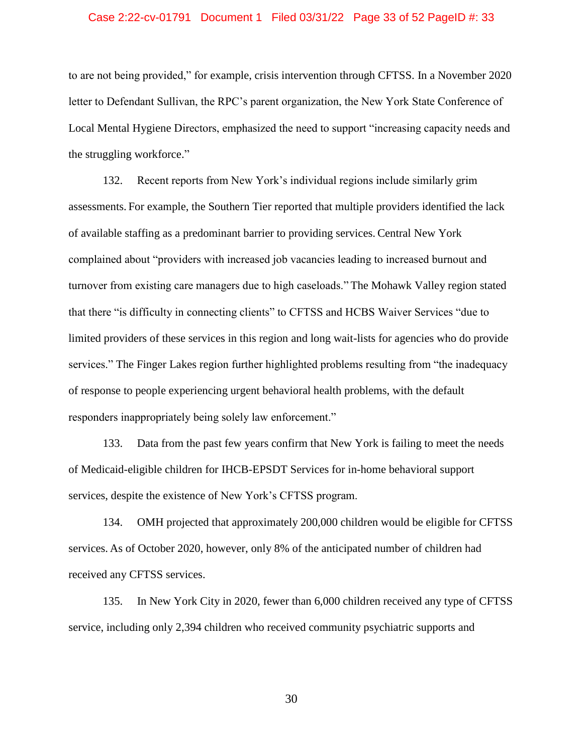### Case 2:22-cv-01791 Document 1 Filed 03/31/22 Page 33 of 52 PageID #: 33

to are not being provided," for example, crisis intervention through CFTSS. In a November 2020 letter to Defendant Sullivan, the RPC's parent organization, the New York State Conference of Local Mental Hygiene Directors, emphasized the need to support "increasing capacity needs and the struggling workforce."

132. Recent reports from New York's individual regions include similarly grim assessments. For example, the Southern Tier reported that multiple providers identified the lack of available staffing as a predominant barrier to providing services. Central New York complained about "providers with increased job vacancies leading to increased burnout and turnover from existing care managers due to high caseloads." The Mohawk Valley region stated that there "is difficulty in connecting clients" to CFTSS and HCBS Waiver Services "due to limited providers of these services in this region and long wait-lists for agencies who do provide services." The Finger Lakes region further highlighted problems resulting from "the inadequacy of response to people experiencing urgent behavioral health problems, with the default responders inappropriately being solely law enforcement."

133. Data from the past few years confirm that New York is failing to meet the needs of Medicaid-eligible children for IHCB-EPSDT Services for in-home behavioral support services, despite the existence of New York's CFTSS program.

134. OMH projected that approximately 200,000 children would be eligible for CFTSS services. As of October 2020, however, only 8% of the anticipated number of children had received any CFTSS services.

135. In New York City in 2020, fewer than 6,000 children received any type of CFTSS service, including only 2,394 children who received community psychiatric supports and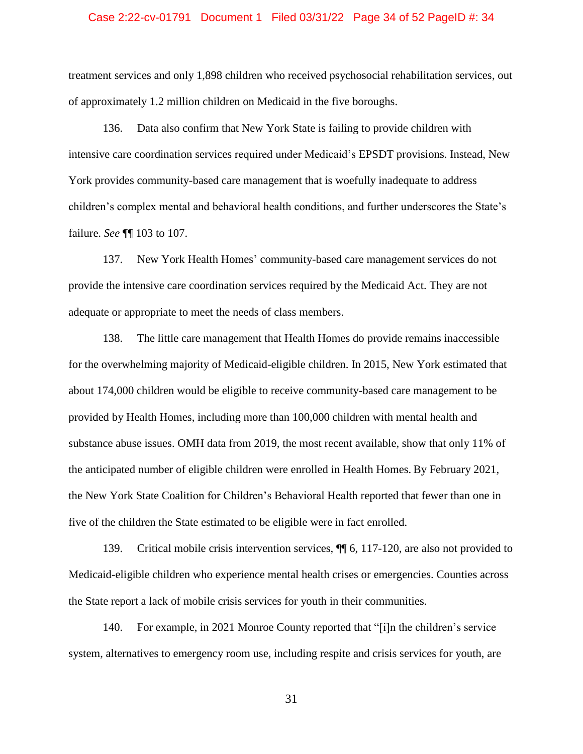### Case 2:22-cv-01791 Document 1 Filed 03/31/22 Page 34 of 52 PageID #: 34

treatment services and only 1,898 children who received psychosocial rehabilitation services, out of approximately 1.2 million children on Medicaid in the five boroughs.

136. Data also confirm that New York State is failing to provide children with intensive care coordination services required under Medicaid's EPSDT provisions. Instead, New York provides community-based care management that is woefully inadequate to address children's complex mental and behavioral health conditions, and further underscores the State's failure. *See* ¶¶ 103 to 107.

137. New York Health Homes' community-based care management services do not provide the intensive care coordination services required by the Medicaid Act. They are not adequate or appropriate to meet the needs of class members.

138. The little care management that Health Homes do provide remains inaccessible for the overwhelming majority of Medicaid-eligible children. In 2015, New York estimated that about 174,000 children would be eligible to receive community-based care management to be provided by Health Homes, including more than 100,000 children with mental health and substance abuse issues. OMH data from 2019, the most recent available, show that only 11% of the anticipated number of eligible children were enrolled in Health Homes. By February 2021, the New York State Coalition for Children's Behavioral Health reported that fewer than one in five of the children the State estimated to be eligible were in fact enrolled.

139. Critical mobile crisis intervention services, ¶¶ 6, 117-120, are also not provided to Medicaid-eligible children who experience mental health crises or emergencies. Counties across the State report a lack of mobile crisis services for youth in their communities.

140. For example, in 2021 Monroe County reported that "[i]n the children's service system, alternatives to emergency room use, including respite and crisis services for youth, are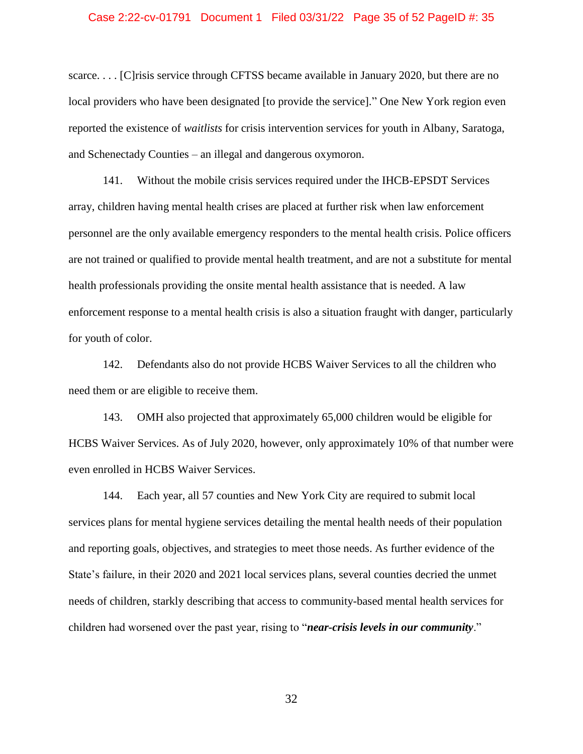### Case 2:22-cv-01791 Document 1 Filed 03/31/22 Page 35 of 52 PageID #: 35

scarce.... [C] risis service through CFTSS became available in January 2020, but there are no local providers who have been designated [to provide the service]." One New York region even reported the existence of *waitlists* for crisis intervention services for youth in Albany, Saratoga, and Schenectady Counties – an illegal and dangerous oxymoron.

141. Without the mobile crisis services required under the IHCB-EPSDT Services array, children having mental health crises are placed at further risk when law enforcement personnel are the only available emergency responders to the mental health crisis. Police officers are not trained or qualified to provide mental health treatment, and are not a substitute for mental health professionals providing the onsite mental health assistance that is needed. A law enforcement response to a mental health crisis is also a situation fraught with danger, particularly for youth of color.

142. Defendants also do not provide HCBS Waiver Services to all the children who need them or are eligible to receive them.

143. OMH also projected that approximately 65,000 children would be eligible for HCBS Waiver Services. As of July 2020, however, only approximately 10% of that number were even enrolled in HCBS Waiver Services.

144. Each year, all 57 counties and New York City are required to submit local services plans for mental hygiene services detailing the mental health needs of their population and reporting goals, objectives, and strategies to meet those needs. As further evidence of the State's failure, in their 2020 and 2021 local services plans, several counties decried the unmet needs of children, starkly describing that access to community-based mental health services for children had worsened over the past year, rising to "*near-crisis levels in our community*."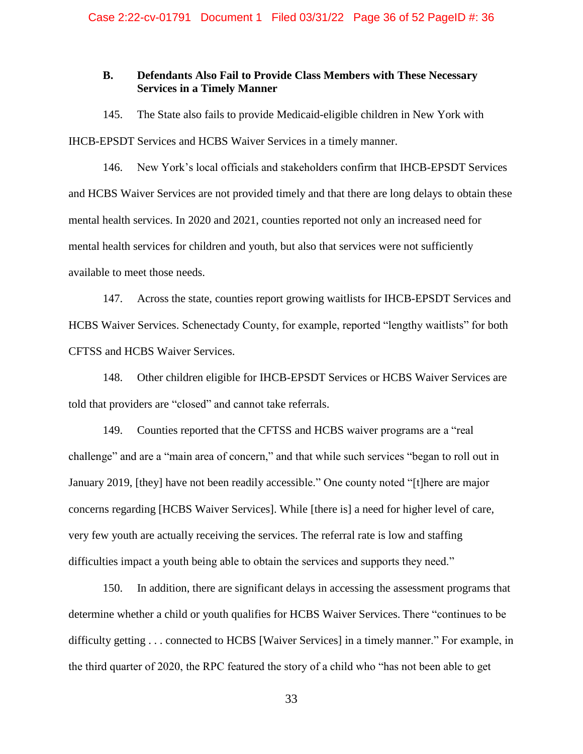# <span id="page-35-0"></span>**B. Defendants Also Fail to Provide Class Members with These Necessary Services in a Timely Manner**

145. The State also fails to provide Medicaid-eligible children in New York with IHCB-EPSDT Services and HCBS Waiver Services in a timely manner.

146. New York's local officials and stakeholders confirm that IHCB-EPSDT Services and HCBS Waiver Services are not provided timely and that there are long delays to obtain these mental health services. In 2020 and 2021, counties reported not only an increased need for mental health services for children and youth, but also that services were not sufficiently available to meet those needs.

147. Across the state, counties report growing waitlists for IHCB-EPSDT Services and HCBS Waiver Services. Schenectady County, for example, reported "lengthy waitlists" for both CFTSS and HCBS Waiver Services.

148. Other children eligible for IHCB-EPSDT Services or HCBS Waiver Services are told that providers are "closed" and cannot take referrals.

149. Counties reported that the CFTSS and HCBS waiver programs are a "real challenge" and are a "main area of concern," and that while such services "began to roll out in January 2019, [they] have not been readily accessible." One county noted "[t]here are major concerns regarding [HCBS Waiver Services]. While [there is] a need for higher level of care, very few youth are actually receiving the services. The referral rate is low and staffing difficulties impact a youth being able to obtain the services and supports they need."

150. In addition, there are significant delays in accessing the assessment programs that determine whether a child or youth qualifies for HCBS Waiver Services. There "continues to be difficulty getting . . . connected to HCBS [Waiver Services] in a timely manner." For example, in the third quarter of 2020, the RPC featured the story of a child who "has not been able to get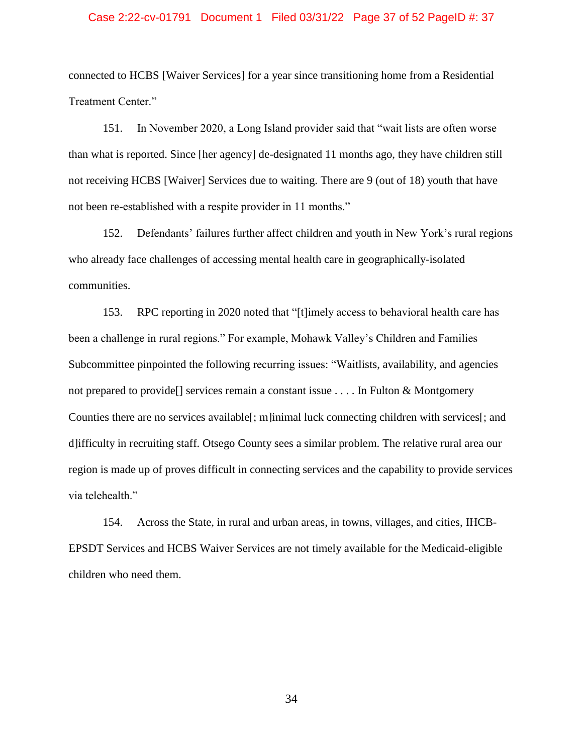### Case 2:22-cv-01791 Document 1 Filed 03/31/22 Page 37 of 52 PageID #: 37

connected to HCBS [Waiver Services] for a year since transitioning home from a Residential Treatment Center."

151. In November 2020, a Long Island provider said that "wait lists are often worse than what is reported. Since [her agency] de-designated 11 months ago, they have children still not receiving HCBS [Waiver] Services due to waiting. There are 9 (out of 18) youth that have not been re-established with a respite provider in 11 months."

152. Defendants' failures further affect children and youth in New York's rural regions who already face challenges of accessing mental health care in geographically-isolated communities.

153. RPC reporting in 2020 noted that "[t]imely access to behavioral health care has been a challenge in rural regions." For example, Mohawk Valley's Children and Families Subcommittee pinpointed the following recurring issues: "Waitlists, availability, and agencies not prepared to provide[] services remain a constant issue . . . . In Fulton & Montgomery Counties there are no services available[; m]inimal luck connecting children with services[; and d]ifficulty in recruiting staff. Otsego County sees a similar problem. The relative rural area our region is made up of proves difficult in connecting services and the capability to provide services via telehealth."

154. Across the State, in rural and urban areas, in towns, villages, and cities, IHCB-EPSDT Services and HCBS Waiver Services are not timely available for the Medicaid-eligible children who need them.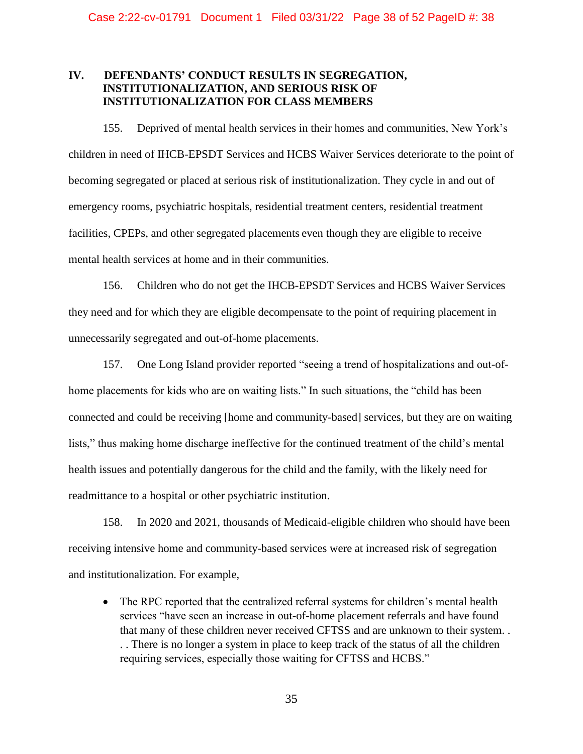# <span id="page-37-0"></span>**IV. DEFENDANTS' CONDUCT RESULTS IN SEGREGATION, INSTITUTIONALIZATION, AND SERIOUS RISK OF INSTITUTIONALIZATION FOR CLASS MEMBERS**

155. Deprived of mental health services in their homes and communities, New York's children in need of IHCB-EPSDT Services and HCBS Waiver Services deteriorate to the point of becoming segregated or placed at serious risk of institutionalization. They cycle in and out of emergency rooms, psychiatric hospitals, residential treatment centers, residential treatment facilities, CPEPs, and other segregated placements even though they are eligible to receive mental health services at home and in their communities.

156. Children who do not get the IHCB-EPSDT Services and HCBS Waiver Services they need and for which they are eligible decompensate to the point of requiring placement in unnecessarily segregated and out-of-home placements.

157. One Long Island provider reported "seeing a trend of hospitalizations and out-ofhome placements for kids who are on waiting lists." In such situations, the "child has been connected and could be receiving [home and community-based] services, but they are on waiting lists," thus making home discharge ineffective for the continued treatment of the child's mental health issues and potentially dangerous for the child and the family, with the likely need for readmittance to a hospital or other psychiatric institution.

158. In 2020 and 2021, thousands of Medicaid-eligible children who should have been receiving intensive home and community-based services were at increased risk of segregation and institutionalization. For example,

• The RPC reported that the centralized referral systems for children's mental health services "have seen an increase in out-of-home placement referrals and have found that many of these children never received CFTSS and are unknown to their system. . . . There is no longer a system in place to keep track of the status of all the children requiring services, especially those waiting for CFTSS and HCBS."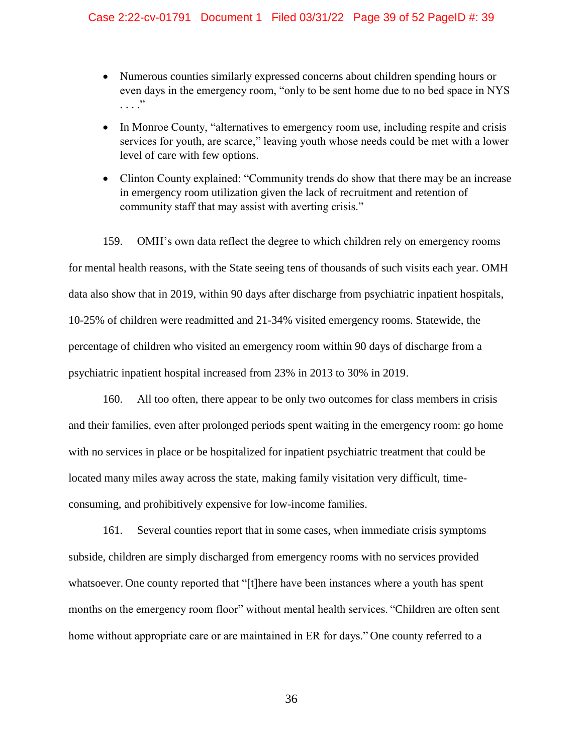# Case 2:22-cv-01791 Document 1 Filed 03/31/22 Page 39 of 52 PageID #: 39

- Numerous counties similarly expressed concerns about children spending hours or even days in the emergency room, "only to be sent home due to no bed space in NYS . . . ."
- In Monroe County, "alternatives to emergency room use, including respite and crisis services for youth, are scarce," leaving youth whose needs could be met with a lower level of care with few options.
- Clinton County explained: "Community trends do show that there may be an increase in emergency room utilization given the lack of recruitment and retention of community staff that may assist with averting crisis."

159. OMH's own data reflect the degree to which children rely on emergency rooms for mental health reasons, with the State seeing tens of thousands of such visits each year. OMH data also show that in 2019, within 90 days after discharge from psychiatric inpatient hospitals, 10-25% of children were readmitted and 21-34% visited emergency rooms. Statewide, the percentage of children who visited an emergency room within 90 days of discharge from a psychiatric inpatient hospital increased from 23% in 2013 to 30% in 2019.

160. All too often, there appear to be only two outcomes for class members in crisis and their families, even after prolonged periods spent waiting in the emergency room: go home with no services in place or be hospitalized for inpatient psychiatric treatment that could be located many miles away across the state, making family visitation very difficult, timeconsuming, and prohibitively expensive for low-income families.

161. Several counties report that in some cases, when immediate crisis symptoms subside, children are simply discharged from emergency rooms with no services provided whatsoever. One county reported that "[t]here have been instances where a youth has spent months on the emergency room floor" without mental health services. "Children are often sent home without appropriate care or are maintained in ER for days." One county referred to a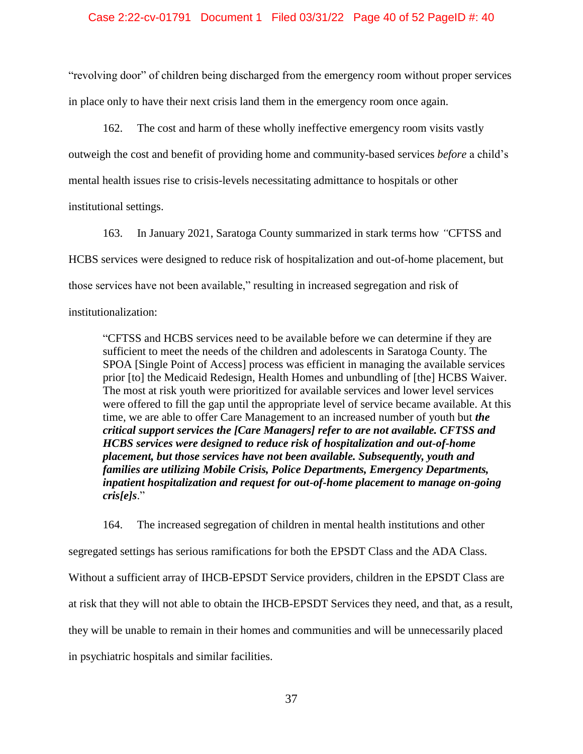### Case 2:22-cv-01791 Document 1 Filed 03/31/22 Page 40 of 52 PageID #: 40

"revolving door" of children being discharged from the emergency room without proper services in place only to have their next crisis land them in the emergency room once again.

162. The cost and harm of these wholly ineffective emergency room visits vastly outweigh the cost and benefit of providing home and community-based services *before* a child's mental health issues rise to crisis-levels necessitating admittance to hospitals or other institutional settings.

163. In January 2021, Saratoga County summarized in stark terms how *"*CFTSS and HCBS services were designed to reduce risk of hospitalization and out-of-home placement, but those services have not been available," resulting in increased segregation and risk of institutionalization:

"CFTSS and HCBS services need to be available before we can determine if they are sufficient to meet the needs of the children and adolescents in Saratoga County. The SPOA [Single Point of Access] process was efficient in managing the available services prior [to] the Medicaid Redesign, Health Homes and unbundling of [the] HCBS Waiver. The most at risk youth were prioritized for available services and lower level services were offered to fill the gap until the appropriate level of service became available. At this time, we are able to offer Care Management to an increased number of youth but *the critical support services the [Care Managers] refer to are not available. CFTSS and HCBS services were designed to reduce risk of hospitalization and out-of-home placement, but those services have not been available. Subsequently, youth and families are utilizing Mobile Crisis, Police Departments, Emergency Departments, inpatient hospitalization and request for out-of-home placement to manage on-going cris[e]s*."

164. The increased segregation of children in mental health institutions and other segregated settings has serious ramifications for both the EPSDT Class and the ADA Class. Without a sufficient array of IHCB-EPSDT Service providers, children in the EPSDT Class are at risk that they will not able to obtain the IHCB-EPSDT Services they need, and that, as a result, they will be unable to remain in their homes and communities and will be unnecessarily placed in psychiatric hospitals and similar facilities.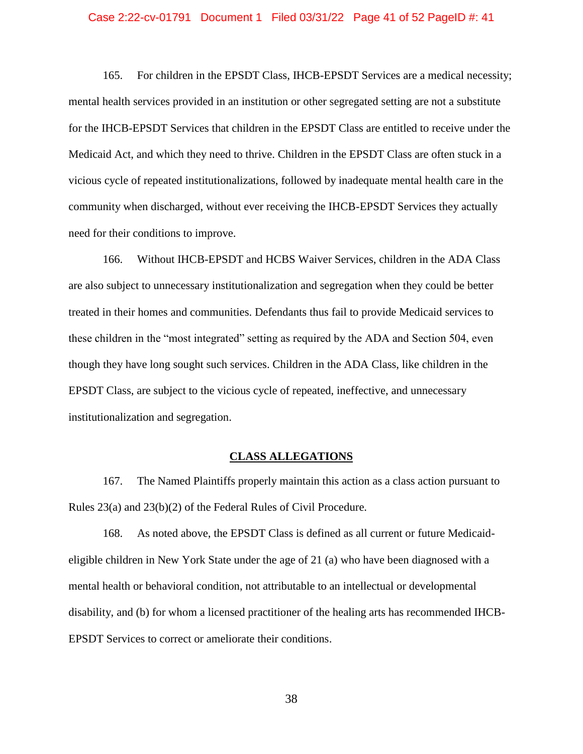### Case 2:22-cv-01791 Document 1 Filed 03/31/22 Page 41 of 52 PageID #: 41

165. For children in the EPSDT Class, IHCB-EPSDT Services are a medical necessity; mental health services provided in an institution or other segregated setting are not a substitute for the IHCB-EPSDT Services that children in the EPSDT Class are entitled to receive under the Medicaid Act, and which they need to thrive. Children in the EPSDT Class are often stuck in a vicious cycle of repeated institutionalizations, followed by inadequate mental health care in the community when discharged, without ever receiving the IHCB-EPSDT Services they actually need for their conditions to improve.

166. Without IHCB-EPSDT and HCBS Waiver Services, children in the ADA Class are also subject to unnecessary institutionalization and segregation when they could be better treated in their homes and communities. Defendants thus fail to provide Medicaid services to these children in the "most integrated" setting as required by the ADA and Section 504, even though they have long sought such services. Children in the ADA Class, like children in the EPSDT Class, are subject to the vicious cycle of repeated, ineffective, and unnecessary institutionalization and segregation.

# **CLASS ALLEGATIONS**

<span id="page-40-0"></span>167. The Named Plaintiffs properly maintain this action as a class action pursuant to Rules 23(a) and 23(b)(2) of the Federal Rules of Civil Procedure.

168. As noted above, the EPSDT Class is defined as all current or future Medicaideligible children in New York State under the age of 21 (a) who have been diagnosed with a mental health or behavioral condition, not attributable to an intellectual or developmental disability, and (b) for whom a licensed practitioner of the healing arts has recommended IHCB-EPSDT Services to correct or ameliorate their conditions.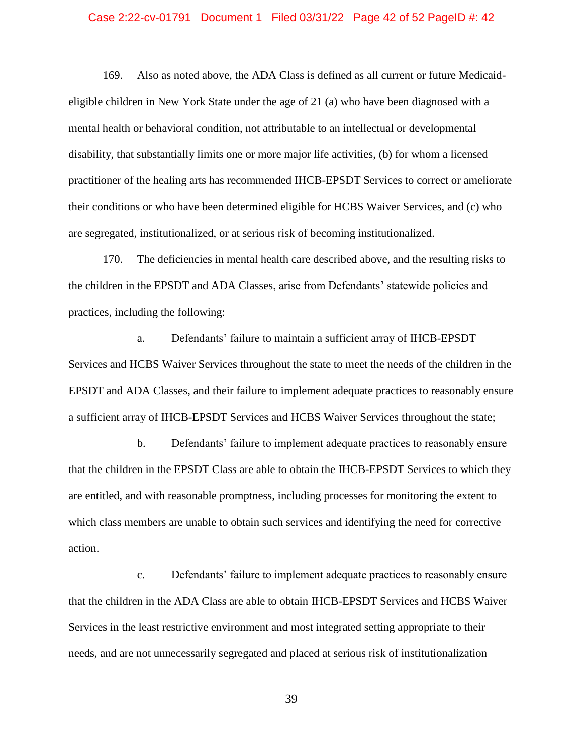### Case 2:22-cv-01791 Document 1 Filed 03/31/22 Page 42 of 52 PageID #: 42

169. Also as noted above, the ADA Class is defined as all current or future Medicaideligible children in New York State under the age of 21 (a) who have been diagnosed with a mental health or behavioral condition, not attributable to an intellectual or developmental disability, that substantially limits one or more major life activities, (b) for whom a licensed practitioner of the healing arts has recommended IHCB-EPSDT Services to correct or ameliorate their conditions or who have been determined eligible for HCBS Waiver Services, and (c) who are segregated, institutionalized, or at serious risk of becoming institutionalized.

170. The deficiencies in mental health care described above, and the resulting risks to the children in the EPSDT and ADA Classes, arise from Defendants' statewide policies and practices, including the following:

a. Defendants' failure to maintain a sufficient array of IHCB-EPSDT Services and HCBS Waiver Services throughout the state to meet the needs of the children in the EPSDT and ADA Classes, and their failure to implement adequate practices to reasonably ensure a sufficient array of IHCB-EPSDT Services and HCBS Waiver Services throughout the state;

b. Defendants' failure to implement adequate practices to reasonably ensure that the children in the EPSDT Class are able to obtain the IHCB-EPSDT Services to which they are entitled, and with reasonable promptness, including processes for monitoring the extent to which class members are unable to obtain such services and identifying the need for corrective action.

c. Defendants' failure to implement adequate practices to reasonably ensure that the children in the ADA Class are able to obtain IHCB-EPSDT Services and HCBS Waiver Services in the least restrictive environment and most integrated setting appropriate to their needs, and are not unnecessarily segregated and placed at serious risk of institutionalization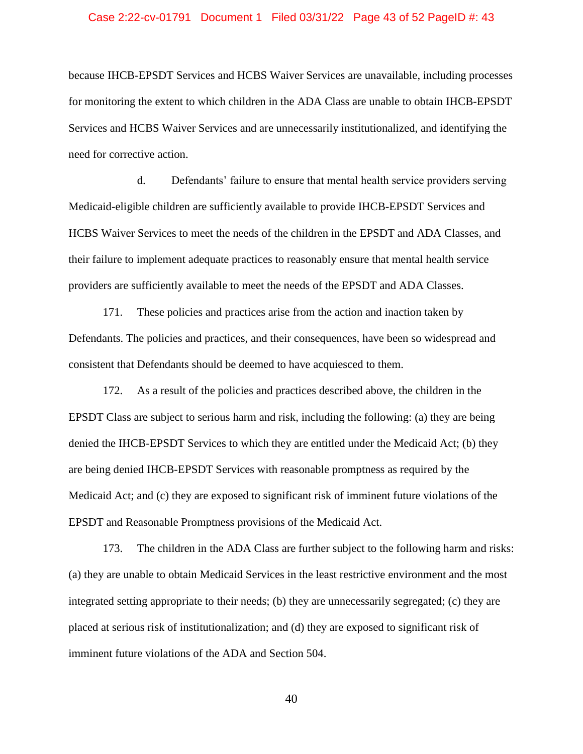### Case 2:22-cv-01791 Document 1 Filed 03/31/22 Page 43 of 52 PageID #: 43

because IHCB-EPSDT Services and HCBS Waiver Services are unavailable, including processes for monitoring the extent to which children in the ADA Class are unable to obtain IHCB-EPSDT Services and HCBS Waiver Services and are unnecessarily institutionalized, and identifying the need for corrective action.

d. Defendants' failure to ensure that mental health service providers serving Medicaid-eligible children are sufficiently available to provide IHCB-EPSDT Services and HCBS Waiver Services to meet the needs of the children in the EPSDT and ADA Classes, and their failure to implement adequate practices to reasonably ensure that mental health service providers are sufficiently available to meet the needs of the EPSDT and ADA Classes.

171. These policies and practices arise from the action and inaction taken by Defendants. The policies and practices, and their consequences, have been so widespread and consistent that Defendants should be deemed to have acquiesced to them.

172. As a result of the policies and practices described above, the children in the EPSDT Class are subject to serious harm and risk, including the following: (a) they are being denied the IHCB-EPSDT Services to which they are entitled under the Medicaid Act; (b) they are being denied IHCB-EPSDT Services with reasonable promptness as required by the Medicaid Act; and (c) they are exposed to significant risk of imminent future violations of the EPSDT and Reasonable Promptness provisions of the Medicaid Act.

173. The children in the ADA Class are further subject to the following harm and risks: (a) they are unable to obtain Medicaid Services in the least restrictive environment and the most integrated setting appropriate to their needs; (b) they are unnecessarily segregated; (c) they are placed at serious risk of institutionalization; and (d) they are exposed to significant risk of imminent future violations of the ADA and Section 504.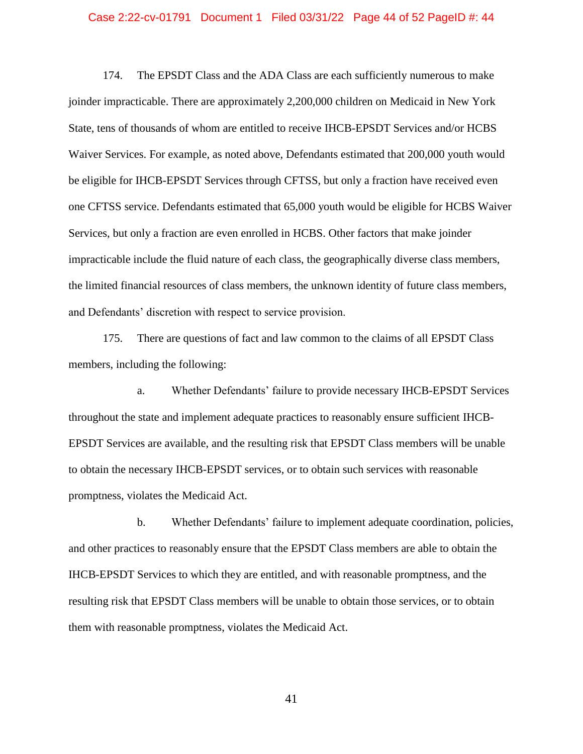### Case 2:22-cv-01791 Document 1 Filed 03/31/22 Page 44 of 52 PageID #: 44

174. The EPSDT Class and the ADA Class are each sufficiently numerous to make joinder impracticable. There are approximately 2,200,000 children on Medicaid in New York State, tens of thousands of whom are entitled to receive IHCB-EPSDT Services and/or HCBS Waiver Services. For example, as noted above, Defendants estimated that 200,000 youth would be eligible for IHCB-EPSDT Services through CFTSS, but only a fraction have received even one CFTSS service. Defendants estimated that 65,000 youth would be eligible for HCBS Waiver Services, but only a fraction are even enrolled in HCBS. Other factors that make joinder impracticable include the fluid nature of each class, the geographically diverse class members, the limited financial resources of class members, the unknown identity of future class members, and Defendants' discretion with respect to service provision.

175. There are questions of fact and law common to the claims of all EPSDT Class members, including the following:

a. Whether Defendants' failure to provide necessary IHCB-EPSDT Services throughout the state and implement adequate practices to reasonably ensure sufficient IHCB-EPSDT Services are available, and the resulting risk that EPSDT Class members will be unable to obtain the necessary IHCB-EPSDT services, or to obtain such services with reasonable promptness, violates the Medicaid Act.

b. Whether Defendants' failure to implement adequate coordination, policies, and other practices to reasonably ensure that the EPSDT Class members are able to obtain the IHCB-EPSDT Services to which they are entitled, and with reasonable promptness, and the resulting risk that EPSDT Class members will be unable to obtain those services, or to obtain them with reasonable promptness, violates the Medicaid Act.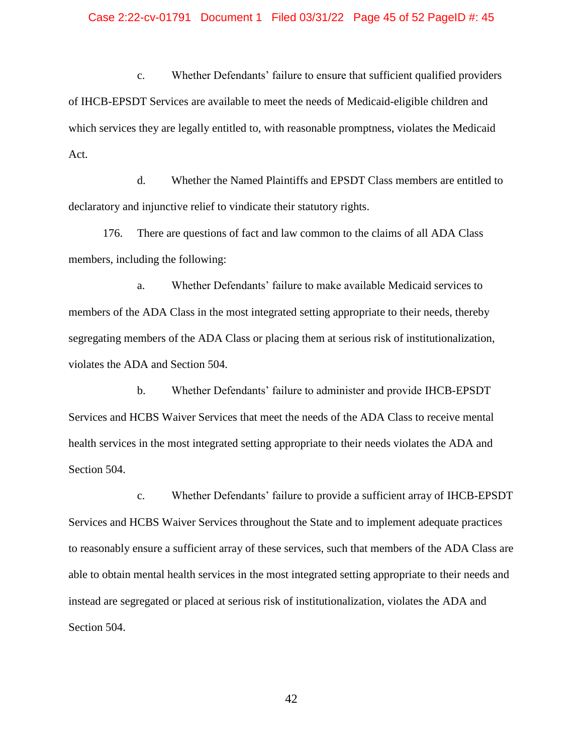### Case 2:22-cv-01791 Document 1 Filed 03/31/22 Page 45 of 52 PageID #: 45

c. Whether Defendants' failure to ensure that sufficient qualified providers of IHCB-EPSDT Services are available to meet the needs of Medicaid-eligible children and which services they are legally entitled to, with reasonable promptness, violates the Medicaid Act.

d. Whether the Named Plaintiffs and EPSDT Class members are entitled to declaratory and injunctive relief to vindicate their statutory rights.

176. There are questions of fact and law common to the claims of all ADA Class members, including the following:

a. Whether Defendants' failure to make available Medicaid services to members of the ADA Class in the most integrated setting appropriate to their needs, thereby segregating members of the ADA Class or placing them at serious risk of institutionalization, violates the ADA and Section 504.

b. Whether Defendants' failure to administer and provide IHCB-EPSDT Services and HCBS Waiver Services that meet the needs of the ADA Class to receive mental health services in the most integrated setting appropriate to their needs violates the ADA and Section 504.

c. Whether Defendants' failure to provide a sufficient array of IHCB-EPSDT Services and HCBS Waiver Services throughout the State and to implement adequate practices to reasonably ensure a sufficient array of these services, such that members of the ADA Class are able to obtain mental health services in the most integrated setting appropriate to their needs and instead are segregated or placed at serious risk of institutionalization, violates the ADA and Section 504.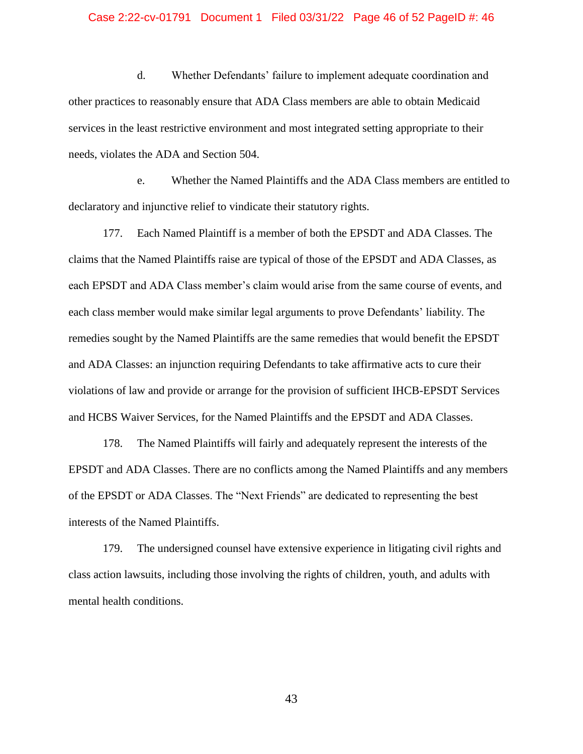### Case 2:22-cv-01791 Document 1 Filed 03/31/22 Page 46 of 52 PageID #: 46

d. Whether Defendants' failure to implement adequate coordination and other practices to reasonably ensure that ADA Class members are able to obtain Medicaid services in the least restrictive environment and most integrated setting appropriate to their needs, violates the ADA and Section 504.

e. Whether the Named Plaintiffs and the ADA Class members are entitled to declaratory and injunctive relief to vindicate their statutory rights.

177. Each Named Plaintiff is a member of both the EPSDT and ADA Classes. The claims that the Named Plaintiffs raise are typical of those of the EPSDT and ADA Classes, as each EPSDT and ADA Class member's claim would arise from the same course of events, and each class member would make similar legal arguments to prove Defendants' liability. The remedies sought by the Named Plaintiffs are the same remedies that would benefit the EPSDT and ADA Classes: an injunction requiring Defendants to take affirmative acts to cure their violations of law and provide or arrange for the provision of sufficient IHCB-EPSDT Services and HCBS Waiver Services, for the Named Plaintiffs and the EPSDT and ADA Classes.

178. The Named Plaintiffs will fairly and adequately represent the interests of the EPSDT and ADA Classes. There are no conflicts among the Named Plaintiffs and any members of the EPSDT or ADA Classes. The "Next Friends" are dedicated to representing the best interests of the Named Plaintiffs.

179. The undersigned counsel have extensive experience in litigating civil rights and class action lawsuits, including those involving the rights of children, youth, and adults with mental health conditions.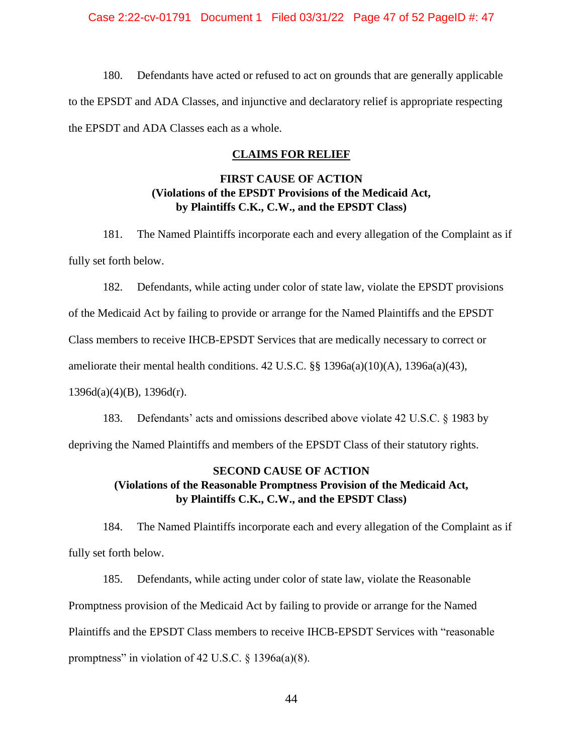# Case 2:22-cv-01791 Document 1 Filed 03/31/22 Page 47 of 52 PageID #: 47

<span id="page-46-0"></span>180. Defendants have acted or refused to act on grounds that are generally applicable to the EPSDT and ADA Classes, and injunctive and declaratory relief is appropriate respecting the EPSDT and ADA Classes each as a whole.

# **CLAIMS FOR RELIEF**

# **FIRST CAUSE OF ACTION (Violations of the EPSDT Provisions of the Medicaid Act, by Plaintiffs C.K., C.W., and the EPSDT Class)**

<span id="page-46-2"></span><span id="page-46-1"></span>181. The Named Plaintiffs incorporate each and every allegation of the Complaint as if fully set forth below.

182. Defendants, while acting under color of state law, violate the EPSDT provisions

of the Medicaid Act by failing to provide or arrange for the Named Plaintiffs and the EPSDT

Class members to receive IHCB-EPSDT Services that are medically necessary to correct or

ameliorate their mental health conditions. 42 U.S.C. §§ 1396a(a)(10)(A), 1396a(a)(43),

 $1396d(a)(4)(B)$ ,  $1396d(r)$ .

183. Defendants' acts and omissions described above violate 42 U.S.C. § 1983 by depriving the Named Plaintiffs and members of the EPSDT Class of their statutory rights.

# <span id="page-46-3"></span>**SECOND CAUSE OF ACTION (Violations of the Reasonable Promptness Provision of the Medicaid Act, by Plaintiffs C.K., C.W., and the EPSDT Class)**

<span id="page-46-4"></span>184. The Named Plaintiffs incorporate each and every allegation of the Complaint as if fully set forth below.

185. Defendants, while acting under color of state law, violate the Reasonable Promptness provision of the Medicaid Act by failing to provide or arrange for the Named Plaintiffs and the EPSDT Class members to receive IHCB-EPSDT Services with "reasonable promptness" in violation of 42 U.S.C.  $\S$  1396a(a)(8).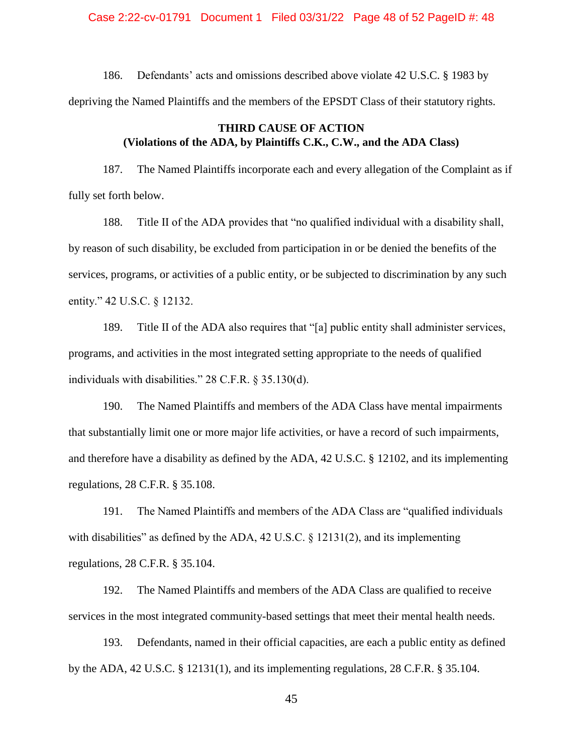Case 2:22-cv-01791 Document 1 Filed 03/31/22 Page 48 of 52 PageID #: 48

186. Defendants' acts and omissions described above violate 42 U.S.C. § 1983 by depriving the Named Plaintiffs and the members of the EPSDT Class of their statutory rights.

# **THIRD CAUSE OF ACTION (Violations of the ADA, by Plaintiffs C.K., C.W., and the ADA Class)**

<span id="page-47-0"></span>187. The Named Plaintiffs incorporate each and every allegation of the Complaint as if fully set forth below.

188. Title II of the ADA provides that "no qualified individual with a disability shall, by reason of such disability, be excluded from participation in or be denied the benefits of the services, programs, or activities of a public entity, or be subjected to discrimination by any such entity." 42 U.S.C. § 12132.

189. Title II of the ADA also requires that "[a] public entity shall administer services, programs, and activities in the most integrated setting appropriate to the needs of qualified individuals with disabilities." 28 C.F.R. § 35.130(d).

190. The Named Plaintiffs and members of the ADA Class have mental impairments that substantially limit one or more major life activities, or have a record of such impairments, and therefore have a disability as defined by the ADA, 42 U.S.C. § 12102, and its implementing regulations, 28 C.F.R. § 35.108.

191. The Named Plaintiffs and members of the ADA Class are "qualified individuals with disabilities" as defined by the ADA, 42 U.S.C. § 12131(2), and its implementing regulations, 28 C.F.R. § 35.104.

192. The Named Plaintiffs and members of the ADA Class are qualified to receive services in the most integrated community-based settings that meet their mental health needs.

193. Defendants, named in their official capacities, are each a public entity as defined by the ADA, 42 U.S.C. § 12131(1), and its implementing regulations, 28 C.F.R. § 35.104.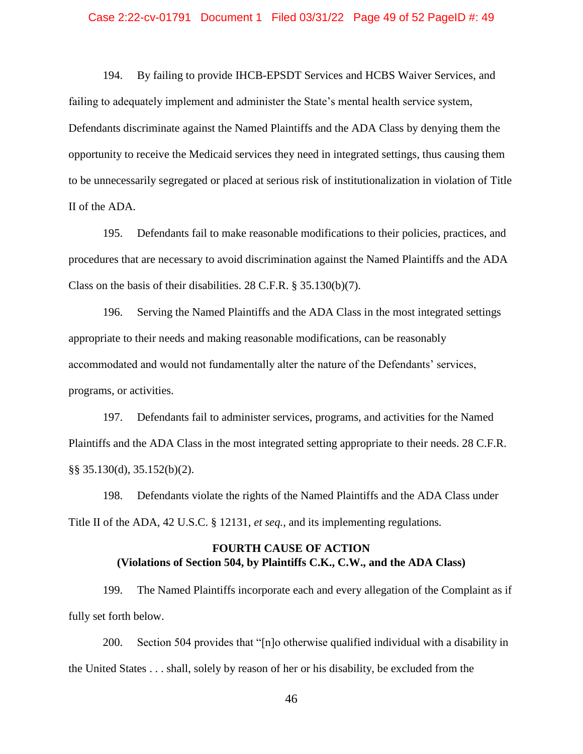### Case 2:22-cv-01791 Document 1 Filed 03/31/22 Page 49 of 52 PageID #: 49

194. By failing to provide IHCB-EPSDT Services and HCBS Waiver Services, and failing to adequately implement and administer the State's mental health service system, Defendants discriminate against the Named Plaintiffs and the ADA Class by denying them the opportunity to receive the Medicaid services they need in integrated settings, thus causing them to be unnecessarily segregated or placed at serious risk of institutionalization in violation of Title II of the ADA.

195. Defendants fail to make reasonable modifications to their policies, practices, and procedures that are necessary to avoid discrimination against the Named Plaintiffs and the ADA Class on the basis of their disabilities. 28 C.F.R. § 35.130(b)(7).

196. Serving the Named Plaintiffs and the ADA Class in the most integrated settings appropriate to their needs and making reasonable modifications, can be reasonably accommodated and would not fundamentally alter the nature of the Defendants' services, programs, or activities.

197. Defendants fail to administer services, programs, and activities for the Named Plaintiffs and the ADA Class in the most integrated setting appropriate to their needs. 28 C.F.R. §§ 35.130(d), 35.152(b)(2).

198. Defendants violate the rights of the Named Plaintiffs and the ADA Class under Title II of the ADA, 42 U.S.C. § 12131, *et seq.*, and its implementing regulations*.*

# **FOURTH CAUSE OF ACTION (Violations of Section 504, by Plaintiffs C.K., C.W., and the ADA Class)**

<span id="page-48-0"></span>199. The Named Plaintiffs incorporate each and every allegation of the Complaint as if fully set forth below.

200. Section 504 provides that "[n]o otherwise qualified individual with a disability in the United States . . . shall, solely by reason of her or his disability, be excluded from the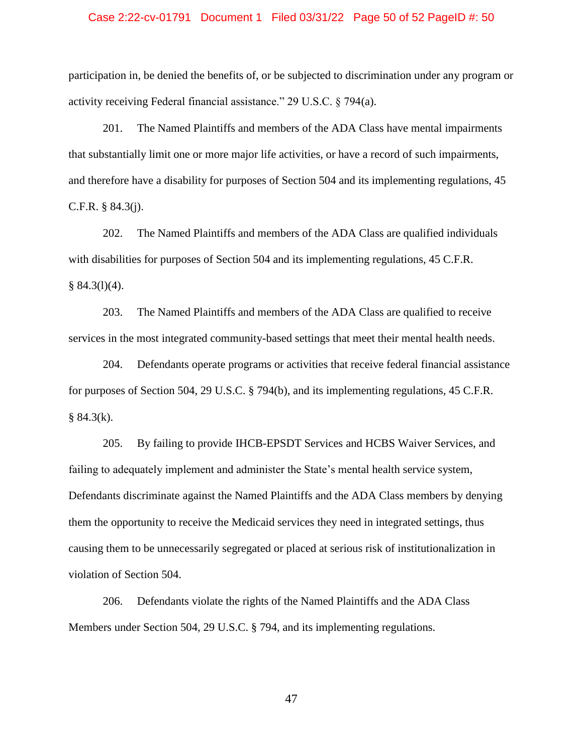### Case 2:22-cv-01791 Document 1 Filed 03/31/22 Page 50 of 52 PageID #: 50

participation in, be denied the benefits of, or be subjected to discrimination under any program or activity receiving Federal financial assistance." 29 U.S.C. § 794(a).

201. The Named Plaintiffs and members of the ADA Class have mental impairments that substantially limit one or more major life activities, or have a record of such impairments, and therefore have a disability for purposes of Section 504 and its implementing regulations, 45 C.F.R. § 84.3(j).

202. The Named Plaintiffs and members of the ADA Class are qualified individuals with disabilities for purposes of Section 504 and its implementing regulations, 45 C.F.R.  $§ 84.3(1)(4).$ 

203. The Named Plaintiffs and members of the ADA Class are qualified to receive services in the most integrated community-based settings that meet their mental health needs.

204. Defendants operate programs or activities that receive federal financial assistance for purposes of Section 504, 29 U.S.C. § 794(b), and its implementing regulations, 45 C.F.R.  $§ 84.3(k).$ 

205. By failing to provide IHCB-EPSDT Services and HCBS Waiver Services, and failing to adequately implement and administer the State's mental health service system, Defendants discriminate against the Named Plaintiffs and the ADA Class members by denying them the opportunity to receive the Medicaid services they need in integrated settings, thus causing them to be unnecessarily segregated or placed at serious risk of institutionalization in violation of Section 504.

206. Defendants violate the rights of the Named Plaintiffs and the ADA Class Members under Section 504, 29 U.S.C. § 794, and its implementing regulations.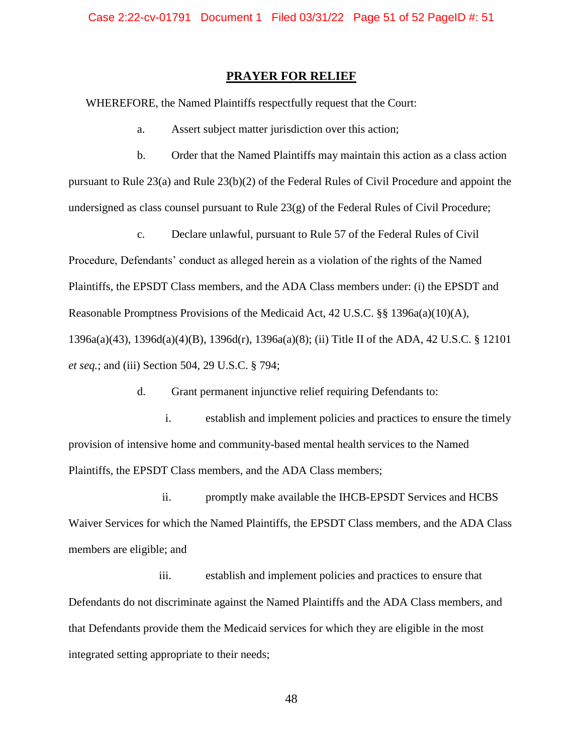# **PRAYER FOR RELIEF**

<span id="page-50-0"></span>WHEREFORE, the Named Plaintiffs respectfully request that the Court:

a. Assert subject matter jurisdiction over this action;

b. Order that the Named Plaintiffs may maintain this action as a class action pursuant to Rule 23(a) and Rule 23(b)(2) of the Federal Rules of Civil Procedure and appoint the undersigned as class counsel pursuant to Rule 23(g) of the Federal Rules of Civil Procedure;

c. Declare unlawful, pursuant to Rule 57 of the Federal Rules of Civil Procedure, Defendants' conduct as alleged herein as a violation of the rights of the Named Plaintiffs, the EPSDT Class members, and the ADA Class members under: (i) the EPSDT and Reasonable Promptness Provisions of the Medicaid Act, 42 U.S.C. §§ 1396a(a)(10)(A), 1396a(a)(43), 1396d(a)(4)(B), 1396d(r), 1396a(a)(8); (ii) Title II of the ADA, 42 U.S.C. § 12101 *et seq.*; and (iii) Section 504, 29 U.S.C. § 794;

d. Grant permanent injunctive relief requiring Defendants to:

i. establish and implement policies and practices to ensure the timely provision of intensive home and community-based mental health services to the Named Plaintiffs, the EPSDT Class members, and the ADA Class members;

ii. promptly make available the IHCB-EPSDT Services and HCBS Waiver Services for which the Named Plaintiffs, the EPSDT Class members, and the ADA Class members are eligible; and

iii. establish and implement policies and practices to ensure that Defendants do not discriminate against the Named Plaintiffs and the ADA Class members, and that Defendants provide them the Medicaid services for which they are eligible in the most integrated setting appropriate to their needs;